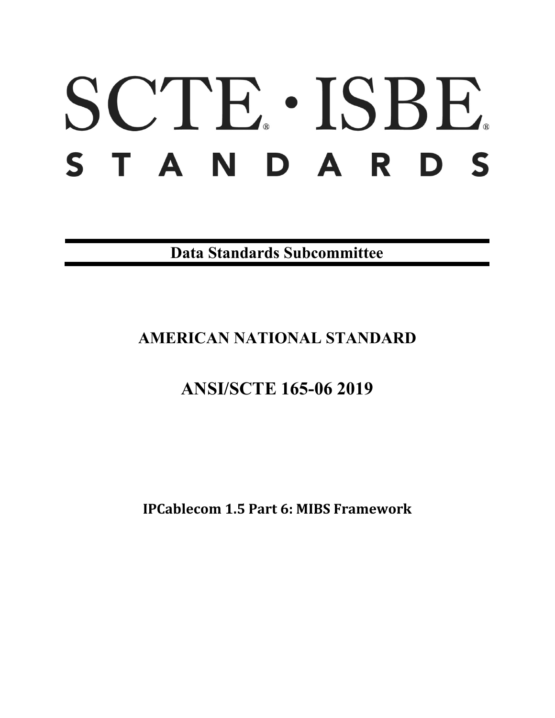# SCTE · ISBE. STANDARDS

**Data Standards Subcommittee**

# **AMERICAN NATIONAL STANDARD**

# **ANSI/SCTE 165-06 2019**

**IPCablecom 1.5 Part 6: MIBS Framework**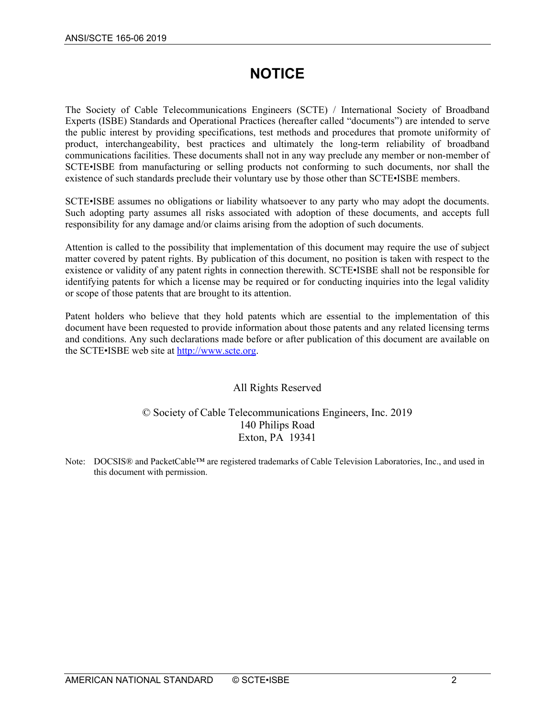# **NOTICE**

The Society of Cable Telecommunications Engineers (SCTE) / International Society of Broadband Experts (ISBE) Standards and Operational Practices (hereafter called "documents") are intended to serve the public interest by providing specifications, test methods and procedures that promote uniformity of product, interchangeability, best practices and ultimately the long-term reliability of broadband communications facilities. These documents shall not in any way preclude any member or non-member of SCTE•ISBE from manufacturing or selling products not conforming to such documents, nor shall the existence of such standards preclude their voluntary use by those other than SCTE•ISBE members.

SCTE•ISBE assumes no obligations or liability whatsoever to any party who may adopt the documents. Such adopting party assumes all risks associated with adoption of these documents, and accepts full responsibility for any damage and/or claims arising from the adoption of such documents.

Attention is called to the possibility that implementation of this document may require the use of subject matter covered by patent rights. By publication of this document, no position is taken with respect to the existence or validity of any patent rights in connection therewith. SCTE•ISBE shall not be responsible for identifying patents for which a license may be required or for conducting inquiries into the legal validity or scope of those patents that are brought to its attention.

Patent holders who believe that they hold patents which are essential to the implementation of this document have been requested to provide information about those patents and any related licensing terms and conditions. Any such declarations made before or after publication of this document are available on the SCTE•ISBE web site at [http://www.scte.org.](http://www.scte.org/)

# All Rights Reserved

## © Society of Cable Telecommunications Engineers, Inc. 2019 140 Philips Road Exton, PA 19341

Note: DOCSIS® and PacketCable™ are registered trademarks of Cable Television Laboratories, Inc., and used in this document with permission.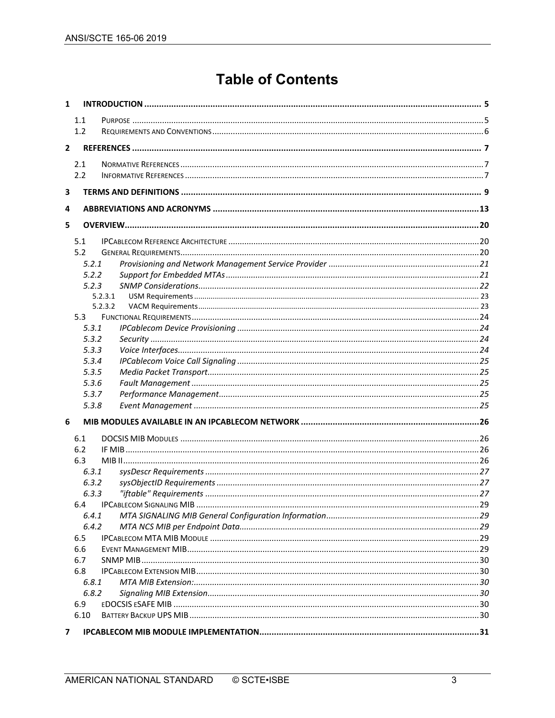# **Table of Contents**

| $\mathbf{1}$   |       |         |  |
|----------------|-------|---------|--|
|                | 1.1   |         |  |
|                | 1.2   |         |  |
| $\overline{2}$ |       |         |  |
|                |       |         |  |
|                | 2.1   |         |  |
|                | 2.2   |         |  |
| 3              |       |         |  |
| 4              |       |         |  |
| 5              |       |         |  |
|                | 5.1   |         |  |
|                | 5.2   |         |  |
|                | 5.2.1 |         |  |
|                | 5.2.2 |         |  |
|                | 5.2.3 |         |  |
|                |       | 5.2.3.1 |  |
|                |       | 5.2.3.2 |  |
|                | 5.3   |         |  |
|                | 5.3.1 |         |  |
|                | 5.3.2 |         |  |
|                | 5.3.3 |         |  |
|                | 5.3.4 |         |  |
|                | 5.3.5 |         |  |
|                | 5.3.6 |         |  |
|                | 5.3.7 |         |  |
|                | 5.3.8 |         |  |
| 6              |       |         |  |
|                | 6.1   |         |  |
|                | 6.2   |         |  |
|                | 6.3   |         |  |
|                | 6.3.1 |         |  |
|                | 6.3.2 |         |  |
|                | 6.3.3 |         |  |
|                | 6.4   |         |  |
|                | 6.4.1 |         |  |
|                | 6.4.2 |         |  |
|                | 6.5   |         |  |
|                | 6.6   |         |  |
|                | 6.7   |         |  |
|                | 6.8   |         |  |
|                | 6.8.1 |         |  |
|                | 6.8.2 |         |  |
|                | 6.9   |         |  |
|                | 6.10  |         |  |
| 7              |       |         |  |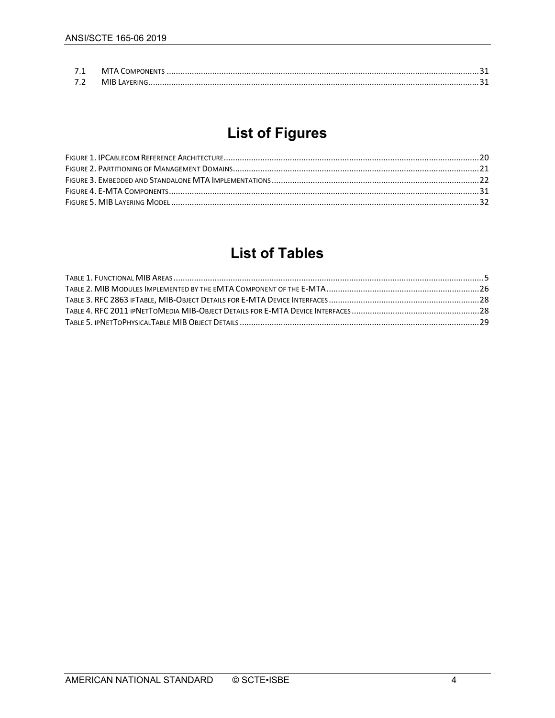| 71 |  |
|----|--|
| 72 |  |

# **List of Figures**

# **List of Tables**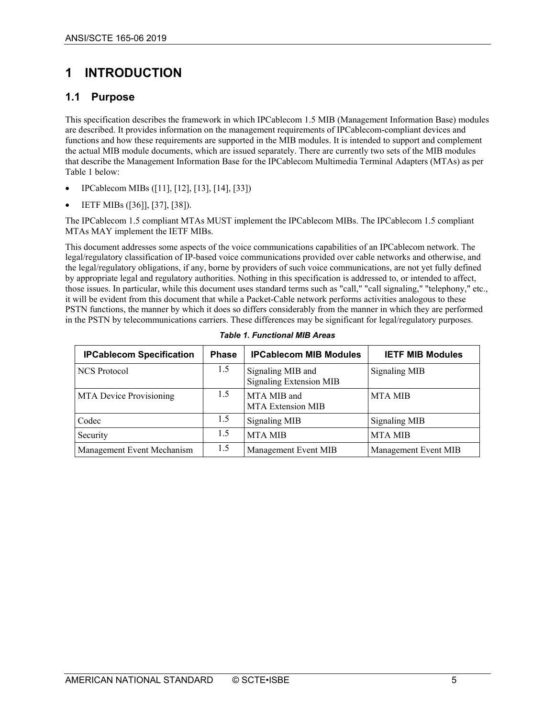# <span id="page-4-0"></span>**1 INTRODUCTION**

# <span id="page-4-1"></span>**1.1 Purpose**

This specification describes the framework in which IPCablecom 1.5 MIB (Management Information Base) modules are described. It provides information on the management requirements of IPCablecom-compliant devices and functions and how these requirements are supported in the MIB modules. It is intended to support and complement the actual MIB module documents, which are issued separately. There are currently two sets of the MIB modules that describe the Management Information Base for the IPCablecom Multimedia Terminal Adapters (MTAs) as per [Table 1](#page-4-2) below:

- IPCablecom MIBs [\(\[11\],](#page-6-3) [\[12\],](#page-6-4) [\[13\],](#page-6-5) [\[14\],](#page-6-6) [\[33\]\)](#page-7-0)
- IETF MIBs [\(\[36\]\]](#page-7-1), [\[37\],](#page-7-2) [\[38\]\)](#page-7-3).

The IPCablecom 1.5 compliant MTAs MUST implement the IPCablecom MIBs. The IPCablecom 1.5 compliant MTAs MAY implement the IETF MIBs.

This document addresses some aspects of the voice communications capabilities of an IPCablecom network. The legal/regulatory classification of IP-based voice communications provided over cable networks and otherwise, and the legal/regulatory obligations, if any, borne by providers of such voice communications, are not yet fully defined by appropriate legal and regulatory authorities. Nothing in this specification is addressed to, or intended to affect, those issues. In particular, while this document uses standard terms such as "call," "call signaling," "telephony," etc., it will be evident from this document that while a Packet-Cable network performs activities analogous to these PSTN functions, the manner by which it does so differs considerably from the manner in which they are performed in the PSTN by telecommunications carriers. These differences may be significant for legal/regulatory purposes.

<span id="page-4-2"></span>

| <b>IPCablecom Specification</b> | <b>Phase</b> | <b>IPCablecom MIB Modules</b>                       | <b>IETF MIB Modules</b> |
|---------------------------------|--------------|-----------------------------------------------------|-------------------------|
| NCS Protocol                    | 1.5          | Signaling MIB and<br><b>Signaling Extension MIB</b> | <b>Signaling MIB</b>    |
| <b>MTA</b> Device Provisioning  | 1.5          | MTA MIB and<br>MTA Extension MIB                    | <b>MTA MIB</b>          |
| Codec                           | 1.5          | <b>Signaling MIB</b>                                | <b>Signaling MIB</b>    |
| Security                        | 1.5          | <b>MTA MIB</b>                                      | <b>MTA MIB</b>          |
| Management Event Mechanism      | 1.5          | Management Event MIB                                | Management Event MIB    |

*Table 1. Functional MIB Areas*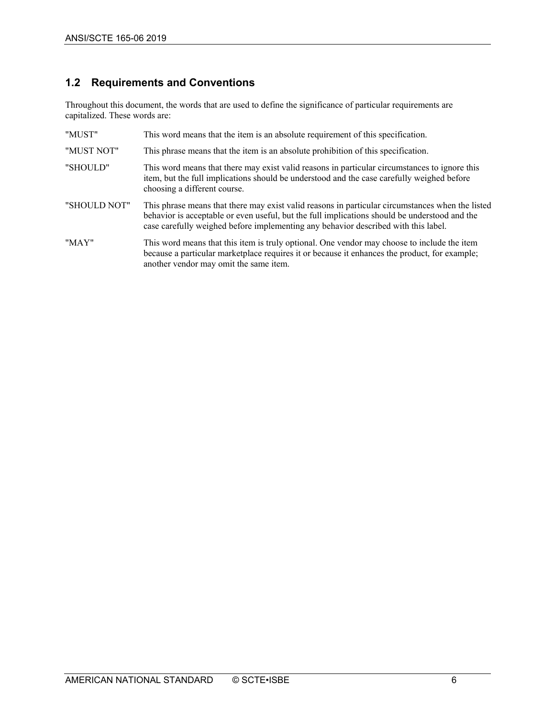# <span id="page-5-0"></span>**1.2 Requirements and Conventions**

Throughout this document, the words that are used to define the significance of particular requirements are capitalized. These words are:

| "MUST"       | This word means that the item is an absolute requirement of this specification.                                                                                                                                                                                                         |
|--------------|-----------------------------------------------------------------------------------------------------------------------------------------------------------------------------------------------------------------------------------------------------------------------------------------|
| "MUST NOT"   | This phrase means that the item is an absolute prohibition of this specification.                                                                                                                                                                                                       |
| "SHOULD"     | This word means that there may exist valid reasons in particular circumstances to ignore this<br>item, but the full implications should be understood and the case carefully weighed before<br>choosing a different course.                                                             |
| "SHOULD NOT" | This phrase means that there may exist valid reasons in particular circumstances when the listed<br>behavior is acceptable or even useful, but the full implications should be understood and the<br>case carefully weighed before implementing any behavior described with this label. |
| "MAY"        | This word means that this item is truly optional. One vendor may choose to include the item<br>because a particular marketplace requires it or because it enhances the product, for example;<br>another vendor may omit the same item.                                                  |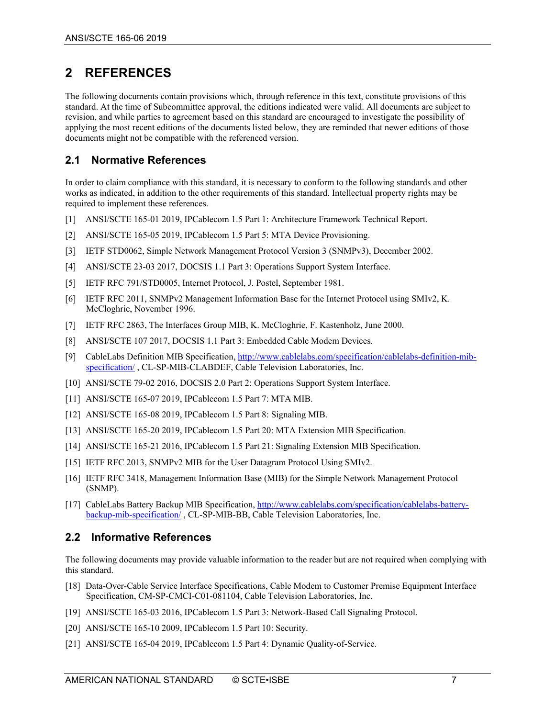# <span id="page-6-0"></span>**2 REFERENCES**

The following documents contain provisions which, through reference in this text, constitute provisions of this standard. At the time of Subcommittee approval, the editions indicated were valid. All documents are subject to revision, and while parties to agreement based on this standard are encouraged to investigate the possibility of applying the most recent editions of the documents listed below, they are reminded that newer editions of those documents might not be compatible with the referenced version.

## <span id="page-6-1"></span>**2.1 Normative References**

In order to claim compliance with this standard, it is necessary to conform to the following standards and other works as indicated, in addition to the other requirements of this standard. Intellectual property rights may be required to implement these references.

- <span id="page-6-7"></span>[1] ANSI/SCTE 165-01 2019, IPCablecom 1.5 Part 1: Architecture Framework Technical Report.
- <span id="page-6-8"></span>[2] ANSI/SCTE 165-05 2019, IPCablecom 1.5 Part 5: MTA Device Provisioning.
- [3] IETF STD0062, Simple Network Management Protocol Version 3 (SNMPv3), December 2002.
- <span id="page-6-9"></span>[4] ANSI/SCTE 23-03 2017, DOCSIS 1.1 Part 3: Operations Support System Interface.
- <span id="page-6-16"></span>[5] IETF RFC 791/STD0005, Internet Protocol, J. Postel, September 1981.
- <span id="page-6-14"></span>[6] IETF RFC 2011, SNMPv2 Management Information Base for the Internet Protocol using SMIv2, K. McCloghrie, November 1996.
- <span id="page-6-12"></span>[7] IETF RFC 2863, The Interfaces Group MIB, K. McCloghrie, F. Kastenholz, June 2000.
- <span id="page-6-11"></span>[8] ANSI/SCTE 107 2017, DOCSIS 1.1 Part 3: Embedded Cable Modem Devices.
- <span id="page-6-18"></span>[9] CableLabs Definition MIB Specification[, http://www.cablelabs.com/specification/cablelabs-definition-mib](http://www.cablelabs.com/specification/cablelabs-definition-mib-specification/)[specification/](http://www.cablelabs.com/specification/cablelabs-definition-mib-specification/), CL-SP-MIB-CLABDEF, Cable Television Laboratories, Inc.
- <span id="page-6-10"></span>[10] ANSI/SCTE 79-02 2016, DOCSIS 2.0 Part 2: Operations Support System Interface.
- <span id="page-6-3"></span>[11] ANSI/SCTE 165-07 2019, IPCablecom 1.5 Part 7: MTA MIB.
- <span id="page-6-4"></span>[12] ANSI/SCTE 165-08 2019, IPCablecom 1.5 Part 8: Signaling MIB.
- <span id="page-6-5"></span>[13] ANSI/SCTE 165-20 2019, IPCablecom 1.5 Part 20: MTA Extension MIB Specification.
- <span id="page-6-6"></span>[14] ANSI/SCTE 165-21 2016, IPCablecom 1.5 Part 21: Signaling Extension MIB Specification.
- <span id="page-6-15"></span>[15] IETF RFC 2013, SNMPv2 MIB for the User Datagram Protocol Using SMIv2.
- <span id="page-6-13"></span>[16] IETF RFC 3418, Management Information Base (MIB) for the Simple Network Management Protocol (SNMP).
- <span id="page-6-19"></span>[17] CableLabs Battery Backup MIB Specification, [http://www.cablelabs.com/specification/cablelabs-battery](http://www.cablelabs.com/specification/cablelabs-battery-backup-mib-specification/)[backup-mib-specification/](http://www.cablelabs.com/specification/cablelabs-battery-backup-mib-specification/) , CL-SP-MIB-BB, Cable Television Laboratories, Inc.

#### <span id="page-6-2"></span>**2.2 Informative References**

The following documents may provide valuable information to the reader but are not required when complying with this standard.

- [18] Data-Over-Cable Service Interface Specifications, Cable Modem to Customer Premise Equipment Interface Specification, CM-SP-CMCI-C01-081104, Cable Television Laboratories, Inc.
- <span id="page-6-17"></span>[19] ANSI/SCTE 165-03 2016, IPCablecom 1.5 Part 3: Network-Based Call Signaling Protocol.
- <span id="page-6-20"></span>[20] ANSI/SCTE 165-10 2009, IPCablecom 1.5 Part 10: Security.
- [21] ANSI/SCTE 165-04 2019, IPCablecom 1.5 Part 4: Dynamic Quality-of-Service.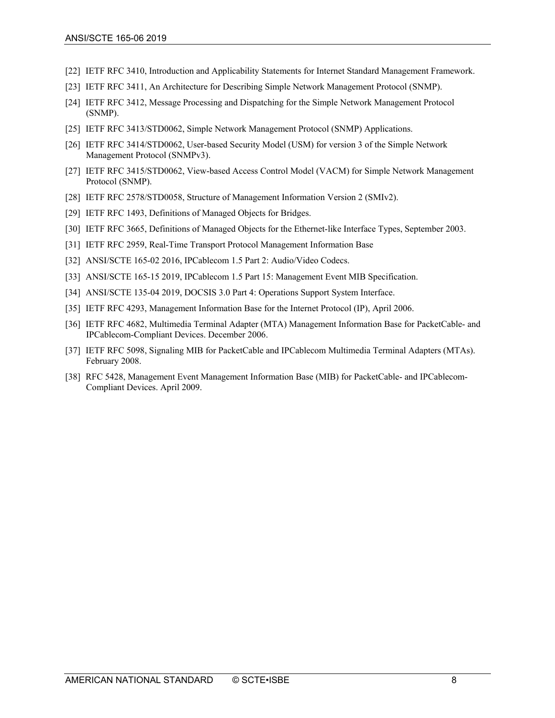- <span id="page-7-4"></span>[22] IETF RFC 3410, Introduction and Applicability Statements for Internet Standard Management Framework.
- <span id="page-7-6"></span>[23] IETF RFC 3411, An Architecture for Describing Simple Network Management Protocol (SNMP).
- <span id="page-7-7"></span>[24] IETF RFC 3412, Message Processing and Dispatching for the Simple Network Management Protocol (SNMP).
- <span id="page-7-8"></span>[25] IETF RFC 3413/STD0062, Simple Network Management Protocol (SNMP) Applications.
- <span id="page-7-9"></span>[26] IETF RFC 3414/STD0062, User-based Security Model (USM) for version 3 of the Simple Network Management Protocol (SNMPv3).
- <span id="page-7-10"></span>[27] IETF RFC 3415/STD0062, View-based Access Control Model (VACM) for Simple Network Management Protocol (SNMP).
- <span id="page-7-5"></span>[28] IETF RFC 2578/STD0058, Structure of Management Information Version 2 (SMIv2).
- [29] IETF RFC 1493, Definitions of Managed Objects for Bridges.
- [30] IETF RFC 3665, Definitions of Managed Objects for the Ethernet-like Interface Types, September 2003.
- <span id="page-7-12"></span>[31] IETF RFC 2959, Real-Time Transport Protocol Management Information Base
- <span id="page-7-11"></span>[32] ANSI/SCTE 165-02 2016, IPCablecom 1.5 Part 2: Audio/Video Codecs.
- <span id="page-7-0"></span>[33] ANSI/SCTE 165-15 2019, IPCablecom 1.5 Part 15: Management Event MIB Specification.
- [34] ANSI/SCTE 135-04 2019, DOCSIS 3.0 Part 4: Operations Support System Interface.
- <span id="page-7-13"></span>[35] IETF RFC 4293, Management Information Base for the Internet Protocol (IP), April 2006.
- <span id="page-7-1"></span>[36] IETF RFC 4682, Multimedia Terminal Adapter (MTA) Management Information Base for PacketCable- and IPCablecom-Compliant Devices. December 2006.
- <span id="page-7-2"></span>[37] IETF RFC 5098, Signaling MIB for PacketCable and IPCablecom Multimedia Terminal Adapters (MTAs). February 2008.
- <span id="page-7-3"></span>[38] RFC 5428, Management Event Management Information Base (MIB) for PacketCable- and IPCablecom-Compliant Devices. April 2009.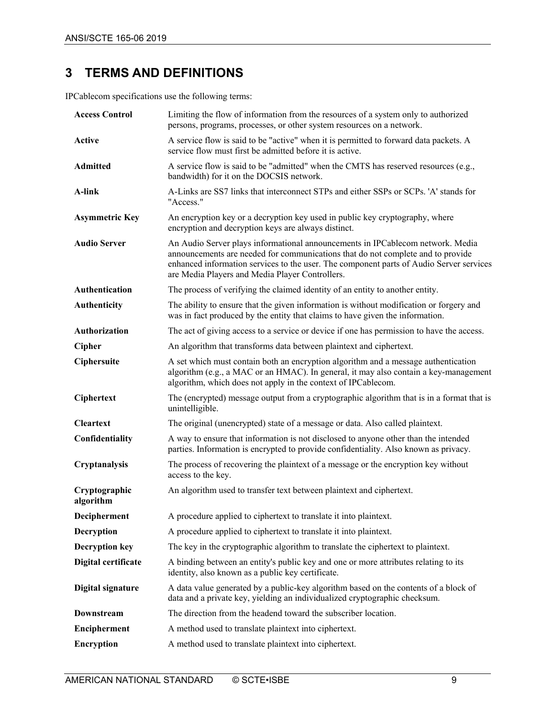# <span id="page-8-0"></span>**3 TERMS AND DEFINITIONS**

IPCablecom specifications use the following terms:

| <b>Access Control</b>      | Limiting the flow of information from the resources of a system only to authorized<br>persons, programs, processes, or other system resources on a network.                                                                                                                                                     |
|----------------------------|-----------------------------------------------------------------------------------------------------------------------------------------------------------------------------------------------------------------------------------------------------------------------------------------------------------------|
| <b>Active</b>              | A service flow is said to be "active" when it is permitted to forward data packets. A<br>service flow must first be admitted before it is active.                                                                                                                                                               |
| <b>Admitted</b>            | A service flow is said to be "admitted" when the CMTS has reserved resources (e.g.,<br>bandwidth) for it on the DOCSIS network.                                                                                                                                                                                 |
| A-link                     | A-Links are SS7 links that interconnect STPs and either SSPs or SCPs. 'A' stands for<br>"Access."                                                                                                                                                                                                               |
| <b>Asymmetric Key</b>      | An encryption key or a decryption key used in public key cryptography, where<br>encryption and decryption keys are always distinct.                                                                                                                                                                             |
| <b>Audio Server</b>        | An Audio Server plays informational announcements in IPCablecom network. Media<br>announcements are needed for communications that do not complete and to provide<br>enhanced information services to the user. The component parts of Audio Server services<br>are Media Players and Media Player Controllers. |
| Authentication             | The process of verifying the claimed identity of an entity to another entity.                                                                                                                                                                                                                                   |
| Authenticity               | The ability to ensure that the given information is without modification or forgery and<br>was in fact produced by the entity that claims to have given the information.                                                                                                                                        |
| Authorization              | The act of giving access to a service or device if one has permission to have the access.                                                                                                                                                                                                                       |
| <b>Cipher</b>              | An algorithm that transforms data between plaintext and ciphertext.                                                                                                                                                                                                                                             |
| Ciphersuite                | A set which must contain both an encryption algorithm and a message authentication<br>algorithm (e.g., a MAC or an HMAC). In general, it may also contain a key-management<br>algorithm, which does not apply in the context of IPCablecom.                                                                     |
| Ciphertext                 | The (encrypted) message output from a cryptographic algorithm that is in a format that is<br>unintelligible.                                                                                                                                                                                                    |
| <b>Cleartext</b>           | The original (unencrypted) state of a message or data. Also called plaintext.                                                                                                                                                                                                                                   |
| Confidentiality            | A way to ensure that information is not disclosed to anyone other than the intended<br>parties. Information is encrypted to provide confidentiality. Also known as privacy.                                                                                                                                     |
| Cryptanalysis              | The process of recovering the plaintext of a message or the encryption key without<br>access to the key.                                                                                                                                                                                                        |
| Cryptographic<br>algorithm | An algorithm used to transfer text between plaintext and ciphertext.                                                                                                                                                                                                                                            |
| Decipherment               | A procedure applied to ciphertext to translate it into plaintext.                                                                                                                                                                                                                                               |
| Decryption                 | A procedure applied to ciphertext to translate it into plaintext.                                                                                                                                                                                                                                               |
| <b>Decryption key</b>      | The key in the cryptographic algorithm to translate the ciphertext to plaintext.                                                                                                                                                                                                                                |
| Digital certificate        | A binding between an entity's public key and one or more attributes relating to its<br>identity, also known as a public key certificate.                                                                                                                                                                        |
| Digital signature          | A data value generated by a public-key algorithm based on the contents of a block of<br>data and a private key, yielding an individualized cryptographic checksum.                                                                                                                                              |
| <b>Downstream</b>          | The direction from the headend toward the subscriber location.                                                                                                                                                                                                                                                  |
| Encipherment               | A method used to translate plaintext into ciphertext.                                                                                                                                                                                                                                                           |
| <b>Encryption</b>          | A method used to translate plaintext into ciphertext.                                                                                                                                                                                                                                                           |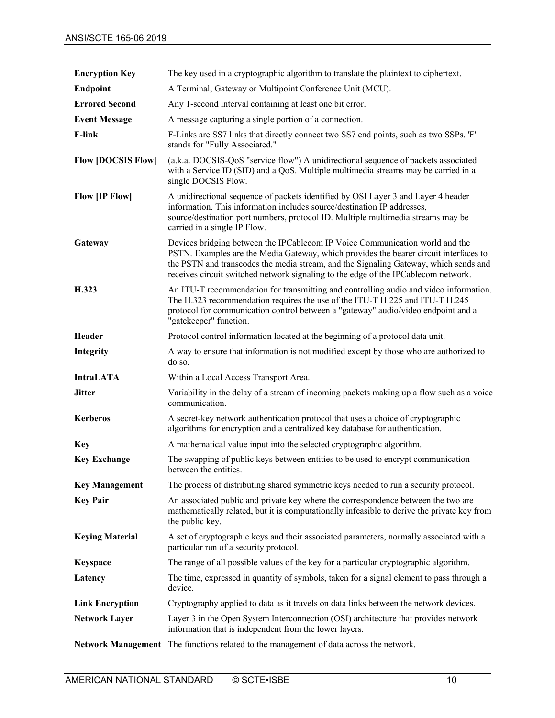| <b>Encryption Key</b>     | The key used in a cryptographic algorithm to translate the plaintext to ciphertext.                                                                                                                                                                                                                                                                 |
|---------------------------|-----------------------------------------------------------------------------------------------------------------------------------------------------------------------------------------------------------------------------------------------------------------------------------------------------------------------------------------------------|
| <b>Endpoint</b>           | A Terminal, Gateway or Multipoint Conference Unit (MCU).                                                                                                                                                                                                                                                                                            |
| <b>Errored Second</b>     | Any 1-second interval containing at least one bit error.                                                                                                                                                                                                                                                                                            |
| <b>Event Message</b>      | A message capturing a single portion of a connection.                                                                                                                                                                                                                                                                                               |
| <b>F-link</b>             | F-Links are SS7 links that directly connect two SS7 end points, such as two SSPs. 'F'<br>stands for "Fully Associated."                                                                                                                                                                                                                             |
| <b>Flow [DOCSIS Flow]</b> | (a.k.a. DOCSIS-QoS "service flow") A unidirectional sequence of packets associated<br>with a Service ID (SID) and a QoS. Multiple multimedia streams may be carried in a<br>single DOCSIS Flow.                                                                                                                                                     |
| <b>Flow [IP Flow]</b>     | A unidirectional sequence of packets identified by OSI Layer 3 and Layer 4 header<br>information. This information includes source/destination IP addresses,<br>source/destination port numbers, protocol ID. Multiple multimedia streams may be<br>carried in a single IP Flow.                                                                    |
| Gateway                   | Devices bridging between the IPCablecom IP Voice Communication world and the<br>PSTN. Examples are the Media Gateway, which provides the bearer circuit interfaces to<br>the PSTN and transcodes the media stream, and the Signaling Gateway, which sends and<br>receives circuit switched network signaling to the edge of the IPCablecom network. |
| H.323                     | An ITU-T recommendation for transmitting and controlling audio and video information.<br>The H.323 recommendation requires the use of the ITU-T H.225 and ITU-T H.245<br>protocol for communication control between a "gateway" audio/video endpoint and a<br>"gatekeeper" function.                                                                |
| Header                    | Protocol control information located at the beginning of a protocol data unit.                                                                                                                                                                                                                                                                      |
| Integrity                 | A way to ensure that information is not modified except by those who are authorized to<br>do so.                                                                                                                                                                                                                                                    |
| <b>IntraLATA</b>          | Within a Local Access Transport Area.                                                                                                                                                                                                                                                                                                               |
| <b>Jitter</b>             | Variability in the delay of a stream of incoming packets making up a flow such as a voice<br>communication.                                                                                                                                                                                                                                         |
| <b>Kerberos</b>           | A secret-key network authentication protocol that uses a choice of cryptographic<br>algorithms for encryption and a centralized key database for authentication.                                                                                                                                                                                    |
| <b>Key</b>                | A mathematical value input into the selected cryptographic algorithm.                                                                                                                                                                                                                                                                               |
| <b>Key Exchange</b>       | The swapping of public keys between entities to be used to encrypt communication<br>between the entities.                                                                                                                                                                                                                                           |
| <b>Key Management</b>     | The process of distributing shared symmetric keys needed to run a security protocol.                                                                                                                                                                                                                                                                |
| <b>Key Pair</b>           | An associated public and private key where the correspondence between the two are<br>mathematically related, but it is computationally infeasible to derive the private key from<br>the public key.                                                                                                                                                 |
| <b>Keying Material</b>    | A set of cryptographic keys and their associated parameters, normally associated with a<br>particular run of a security protocol.                                                                                                                                                                                                                   |
| <b>Keyspace</b>           | The range of all possible values of the key for a particular cryptographic algorithm.                                                                                                                                                                                                                                                               |
| Latency                   | The time, expressed in quantity of symbols, taken for a signal element to pass through a<br>device.                                                                                                                                                                                                                                                 |
| <b>Link Encryption</b>    | Cryptography applied to data as it travels on data links between the network devices.                                                                                                                                                                                                                                                               |
| <b>Network Layer</b>      | Layer 3 in the Open System Interconnection (OSI) architecture that provides network<br>information that is independent from the lower layers.                                                                                                                                                                                                       |
|                           | Network Management The functions related to the management of data across the network.                                                                                                                                                                                                                                                              |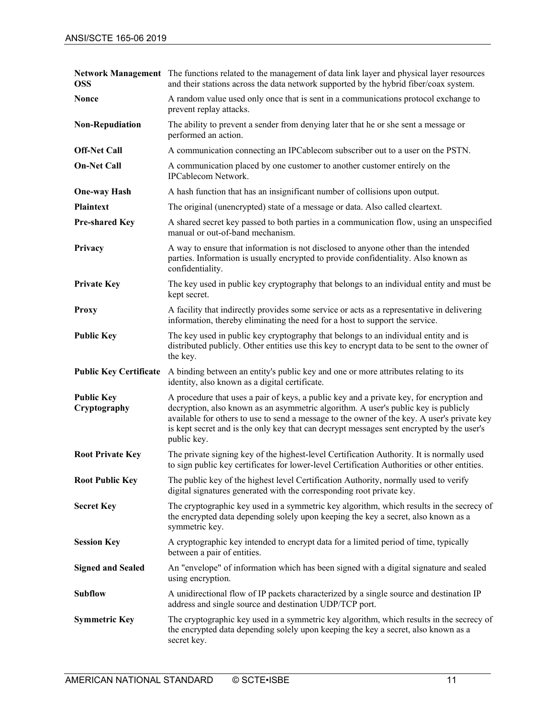| <b>OSS</b>                        | Network Management The functions related to the management of data link layer and physical layer resources<br>and their stations across the data network supported by the hybrid fiber/coax system.                                                                                                                                                                                       |
|-----------------------------------|-------------------------------------------------------------------------------------------------------------------------------------------------------------------------------------------------------------------------------------------------------------------------------------------------------------------------------------------------------------------------------------------|
| <b>Nonce</b>                      | A random value used only once that is sent in a communications protocol exchange to<br>prevent replay attacks.                                                                                                                                                                                                                                                                            |
| <b>Non-Repudiation</b>            | The ability to prevent a sender from denying later that he or she sent a message or<br>performed an action.                                                                                                                                                                                                                                                                               |
| <b>Off-Net Call</b>               | A communication connecting an IPCablecom subscriber out to a user on the PSTN.                                                                                                                                                                                                                                                                                                            |
| <b>On-Net Call</b>                | A communication placed by one customer to another customer entirely on the<br><b>IPCablecom Network.</b>                                                                                                                                                                                                                                                                                  |
| <b>One-way Hash</b>               | A hash function that has an insignificant number of collisions upon output.                                                                                                                                                                                                                                                                                                               |
| <b>Plaintext</b>                  | The original (unencrypted) state of a message or data. Also called cleartext.                                                                                                                                                                                                                                                                                                             |
| <b>Pre-shared Key</b>             | A shared secret key passed to both parties in a communication flow, using an unspecified<br>manual or out-of-band mechanism.                                                                                                                                                                                                                                                              |
| Privacy                           | A way to ensure that information is not disclosed to anyone other than the intended<br>parties. Information is usually encrypted to provide confidentiality. Also known as<br>confidentiality.                                                                                                                                                                                            |
| <b>Private Key</b>                | The key used in public key cryptography that belongs to an individual entity and must be<br>kept secret.                                                                                                                                                                                                                                                                                  |
| <b>Proxy</b>                      | A facility that indirectly provides some service or acts as a representative in delivering<br>information, thereby eliminating the need for a host to support the service.                                                                                                                                                                                                                |
| <b>Public Key</b>                 | The key used in public key cryptography that belongs to an individual entity and is<br>distributed publicly. Other entities use this key to encrypt data to be sent to the owner of<br>the key.                                                                                                                                                                                           |
| <b>Public Key Certificate</b>     | A binding between an entity's public key and one or more attributes relating to its<br>identity, also known as a digital certificate.                                                                                                                                                                                                                                                     |
| <b>Public Key</b><br>Cryptography | A procedure that uses a pair of keys, a public key and a private key, for encryption and<br>decryption, also known as an asymmetric algorithm. A user's public key is publicly<br>available for others to use to send a message to the owner of the key. A user's private key<br>is kept secret and is the only key that can decrypt messages sent encrypted by the user's<br>public key. |
| <b>Root Private Key</b>           | The private signing key of the highest-level Certification Authority. It is normally used<br>to sign public key certificates for lower-level Certification Authorities or other entities.                                                                                                                                                                                                 |
| <b>Root Public Key</b>            | The public key of the highest level Certification Authority, normally used to verify<br>digital signatures generated with the corresponding root private key.                                                                                                                                                                                                                             |
| <b>Secret Key</b>                 | The cryptographic key used in a symmetric key algorithm, which results in the secrecy of<br>the encrypted data depending solely upon keeping the key a secret, also known as a<br>symmetric key.                                                                                                                                                                                          |
| <b>Session Key</b>                | A cryptographic key intended to encrypt data for a limited period of time, typically<br>between a pair of entities.                                                                                                                                                                                                                                                                       |
| <b>Signed and Sealed</b>          | An "envelope" of information which has been signed with a digital signature and sealed<br>using encryption.                                                                                                                                                                                                                                                                               |
| <b>Subflow</b>                    | A unidirectional flow of IP packets characterized by a single source and destination IP<br>address and single source and destination UDP/TCP port.                                                                                                                                                                                                                                        |
| <b>Symmetric Key</b>              | The cryptographic key used in a symmetric key algorithm, which results in the secrecy of<br>the encrypted data depending solely upon keeping the key a secret, also known as a<br>secret key.                                                                                                                                                                                             |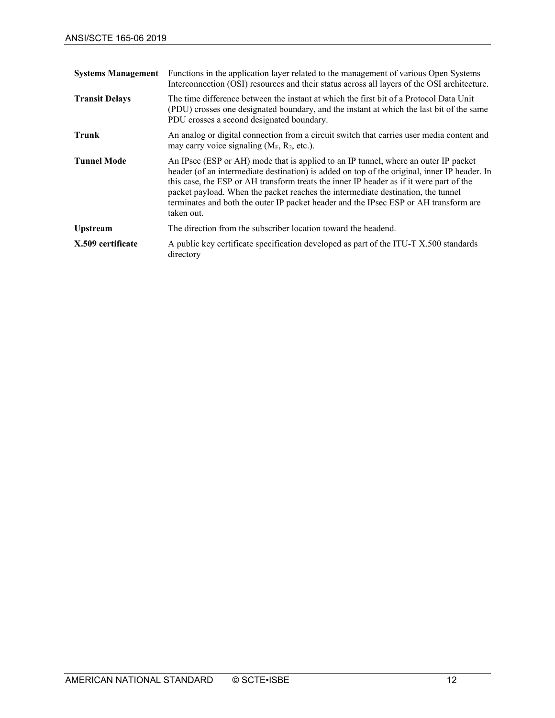| <b>Systems Management</b> | Functions in the application layer related to the management of various Open Systems<br>Interconnection (OSI) resources and their status across all layers of the OSI architecture.                                                                                                                                                                                                                                                                                      |
|---------------------------|--------------------------------------------------------------------------------------------------------------------------------------------------------------------------------------------------------------------------------------------------------------------------------------------------------------------------------------------------------------------------------------------------------------------------------------------------------------------------|
| <b>Transit Delays</b>     | The time difference between the instant at which the first bit of a Protocol Data Unit<br>(PDU) crosses one designated boundary, and the instant at which the last bit of the same<br>PDU crosses a second designated boundary.                                                                                                                                                                                                                                          |
| Trunk                     | An analog or digital connection from a circuit switch that carries user media content and<br>may carry voice signaling $(M_F, R_2, etc.).$                                                                                                                                                                                                                                                                                                                               |
| <b>Tunnel Mode</b>        | An IPsec (ESP or AH) mode that is applied to an IP tunnel, where an outer IP packet<br>header (of an intermediate destination) is added on top of the original, inner IP header. In<br>this case, the ESP or AH transform treats the inner IP header as if it were part of the<br>packet payload. When the packet reaches the intermediate destination, the tunnel<br>terminates and both the outer IP packet header and the IPsec ESP or AH transform are<br>taken out. |
| <b>Upstream</b>           | The direction from the subscriber location toward the headend.                                                                                                                                                                                                                                                                                                                                                                                                           |
| X.509 certificate         | A public key certificate specification developed as part of the ITU-T X.500 standards<br>directory                                                                                                                                                                                                                                                                                                                                                                       |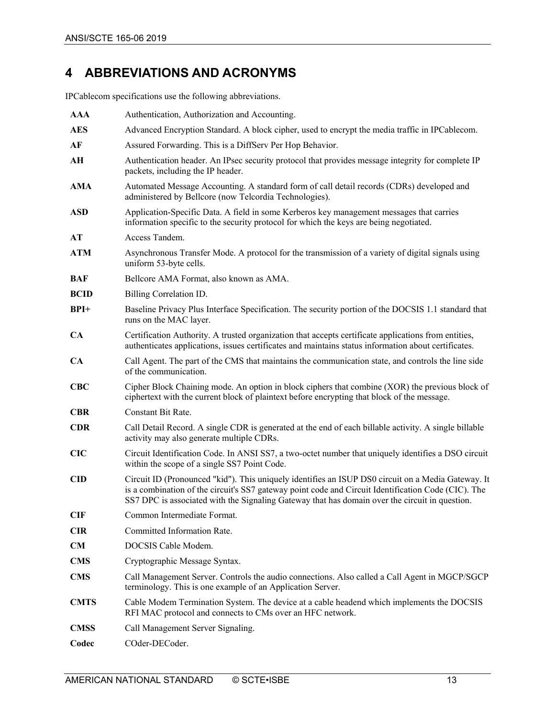# <span id="page-12-0"></span>**4 ABBREVIATIONS AND ACRONYMS**

IPCablecom specifications use the following abbreviations.

| <b>AAA</b>  | Authentication, Authorization and Accounting.                                                                                                                                                                                                                                                               |
|-------------|-------------------------------------------------------------------------------------------------------------------------------------------------------------------------------------------------------------------------------------------------------------------------------------------------------------|
| <b>AES</b>  | Advanced Encryption Standard. A block cipher, used to encrypt the media traffic in IPCablecom.                                                                                                                                                                                                              |
| AF          | Assured Forwarding. This is a DiffServ Per Hop Behavior.                                                                                                                                                                                                                                                    |
| AН          | Authentication header. An IPsec security protocol that provides message integrity for complete IP<br>packets, including the IP header.                                                                                                                                                                      |
| <b>AMA</b>  | Automated Message Accounting. A standard form of call detail records (CDRs) developed and<br>administered by Bellcore (now Telcordia Technologies).                                                                                                                                                         |
| <b>ASD</b>  | Application-Specific Data. A field in some Kerberos key management messages that carries<br>information specific to the security protocol for which the keys are being negotiated.                                                                                                                          |
| AT          | Access Tandem.                                                                                                                                                                                                                                                                                              |
| <b>ATM</b>  | Asynchronous Transfer Mode. A protocol for the transmission of a variety of digital signals using<br>uniform 53-byte cells.                                                                                                                                                                                 |
| BAF         | Bellcore AMA Format, also known as AMA.                                                                                                                                                                                                                                                                     |
| <b>BCID</b> | Billing Correlation ID.                                                                                                                                                                                                                                                                                     |
| $BPI+$      | Baseline Privacy Plus Interface Specification. The security portion of the DOCSIS 1.1 standard that<br>runs on the MAC layer.                                                                                                                                                                               |
| CA          | Certification Authority. A trusted organization that accepts certificate applications from entities,<br>authenticates applications, issues certificates and maintains status information about certificates.                                                                                                |
| CA          | Call Agent. The part of the CMS that maintains the communication state, and controls the line side<br>of the communication.                                                                                                                                                                                 |
| CBC         | Cipher Block Chaining mode. An option in block ciphers that combine (XOR) the previous block of<br>ciphertext with the current block of plaintext before encrypting that block of the message.                                                                                                              |
| <b>CBR</b>  | Constant Bit Rate.                                                                                                                                                                                                                                                                                          |
| <b>CDR</b>  | Call Detail Record. A single CDR is generated at the end of each billable activity. A single billable<br>activity may also generate multiple CDRs.                                                                                                                                                          |
| CIC         | Circuit Identification Code. In ANSI SS7, a two-octet number that uniquely identifies a DSO circuit<br>within the scope of a single SS7 Point Code.                                                                                                                                                         |
| <b>CID</b>  | Circuit ID (Pronounced "kid"). This uniquely identifies an ISUP DS0 circuit on a Media Gateway. It<br>is a combination of the circuit's SS7 gateway point code and Circuit Identification Code (CIC). The<br>SS7 DPC is associated with the Signaling Gateway that has domain over the circuit in question. |
| <b>CIF</b>  | Common Intermediate Format.                                                                                                                                                                                                                                                                                 |
| <b>CIR</b>  | Committed Information Rate.                                                                                                                                                                                                                                                                                 |
| <b>CM</b>   | DOCSIS Cable Modem.                                                                                                                                                                                                                                                                                         |
| <b>CMS</b>  | Cryptographic Message Syntax.                                                                                                                                                                                                                                                                               |
| <b>CMS</b>  | Call Management Server. Controls the audio connections. Also called a Call Agent in MGCP/SGCP<br>terminology. This is one example of an Application Server.                                                                                                                                                 |
| <b>CMTS</b> | Cable Modem Termination System. The device at a cable headend which implements the DOCSIS<br>RFI MAC protocol and connects to CMs over an HFC network.                                                                                                                                                      |
| <b>CMSS</b> | Call Management Server Signaling.                                                                                                                                                                                                                                                                           |
| Codec       | COder-DECoder.                                                                                                                                                                                                                                                                                              |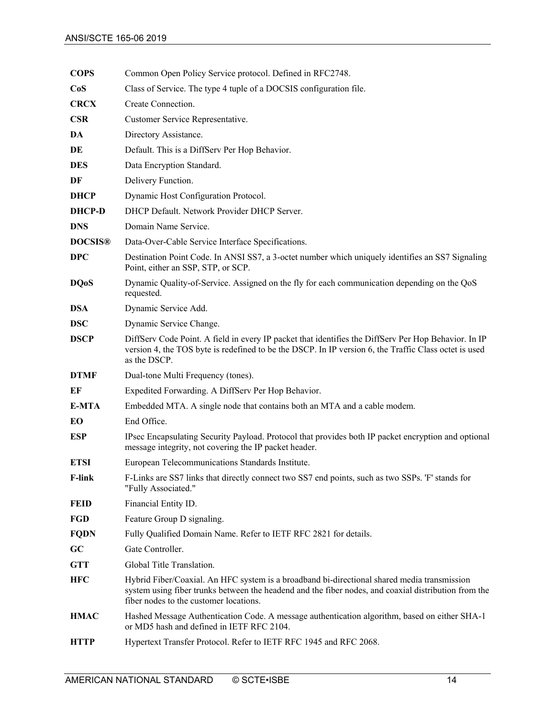| <b>COPS</b>    | Common Open Policy Service protocol. Defined in RFC2748.                                                                                                                                                                                      |
|----------------|-----------------------------------------------------------------------------------------------------------------------------------------------------------------------------------------------------------------------------------------------|
| CoS            | Class of Service. The type 4 tuple of a DOCSIS configuration file.                                                                                                                                                                            |
| <b>CRCX</b>    | Create Connection.                                                                                                                                                                                                                            |
| <b>CSR</b>     | Customer Service Representative.                                                                                                                                                                                                              |
| DA             | Directory Assistance.                                                                                                                                                                                                                         |
| DE             | Default. This is a DiffServ Per Hop Behavior.                                                                                                                                                                                                 |
| <b>DES</b>     | Data Encryption Standard.                                                                                                                                                                                                                     |
| DF             | Delivery Function.                                                                                                                                                                                                                            |
| <b>DHCP</b>    | Dynamic Host Configuration Protocol.                                                                                                                                                                                                          |
| <b>DHCP-D</b>  | DHCP Default. Network Provider DHCP Server.                                                                                                                                                                                                   |
| <b>DNS</b>     | Domain Name Service.                                                                                                                                                                                                                          |
| <b>DOCSIS®</b> | Data-Over-Cable Service Interface Specifications.                                                                                                                                                                                             |
| <b>DPC</b>     | Destination Point Code. In ANSI SS7, a 3-octet number which uniquely identifies an SS7 Signaling<br>Point, either an SSP, STP, or SCP.                                                                                                        |
| <b>DQoS</b>    | Dynamic Quality-of-Service. Assigned on the fly for each communication depending on the QoS<br>requested.                                                                                                                                     |
| DSA            | Dynamic Service Add.                                                                                                                                                                                                                          |
| <b>DSC</b>     | Dynamic Service Change.                                                                                                                                                                                                                       |
| <b>DSCP</b>    | DiffServ Code Point. A field in every IP packet that identifies the DiffServ Per Hop Behavior. In IP<br>version 4, the TOS byte is redefined to be the DSCP. In IP version 6, the Traffic Class octet is used<br>as the DSCP.                 |
| <b>DTMF</b>    | Dual-tone Multi Frequency (tones).                                                                                                                                                                                                            |
| EF             | Expedited Forwarding. A DiffServ Per Hop Behavior.                                                                                                                                                                                            |
| E-MTA          | Embedded MTA. A single node that contains both an MTA and a cable modem.                                                                                                                                                                      |
| EО             | End Office.                                                                                                                                                                                                                                   |
| <b>ESP</b>     | IPsec Encapsulating Security Payload. Protocol that provides both IP packet encryption and optional<br>message integrity, not covering the IP packet header.                                                                                  |
| <b>ETSI</b>    | European Telecommunications Standards Institute.                                                                                                                                                                                              |
| F-link         | F-Links are SS7 links that directly connect two SS7 end points, such as two SSPs. 'F' stands for<br>"Fully Associated."                                                                                                                       |
| <b>FEID</b>    | Financial Entity ID.                                                                                                                                                                                                                          |
| <b>FGD</b>     | Feature Group D signaling.                                                                                                                                                                                                                    |
| <b>FQDN</b>    | Fully Qualified Domain Name. Refer to IETF RFC 2821 for details.                                                                                                                                                                              |
| GC             | Gate Controller.                                                                                                                                                                                                                              |
| <b>GTT</b>     | Global Title Translation.                                                                                                                                                                                                                     |
| <b>HFC</b>     | Hybrid Fiber/Coaxial. An HFC system is a broadband bi-directional shared media transmission<br>system using fiber trunks between the headend and the fiber nodes, and coaxial distribution from the<br>fiber nodes to the customer locations. |
| <b>HMAC</b>    | Hashed Message Authentication Code. A message authentication algorithm, based on either SHA-1<br>or MD5 hash and defined in IETF RFC 2104.                                                                                                    |
| <b>HTTP</b>    | Hypertext Transfer Protocol. Refer to IETF RFC 1945 and RFC 2068.                                                                                                                                                                             |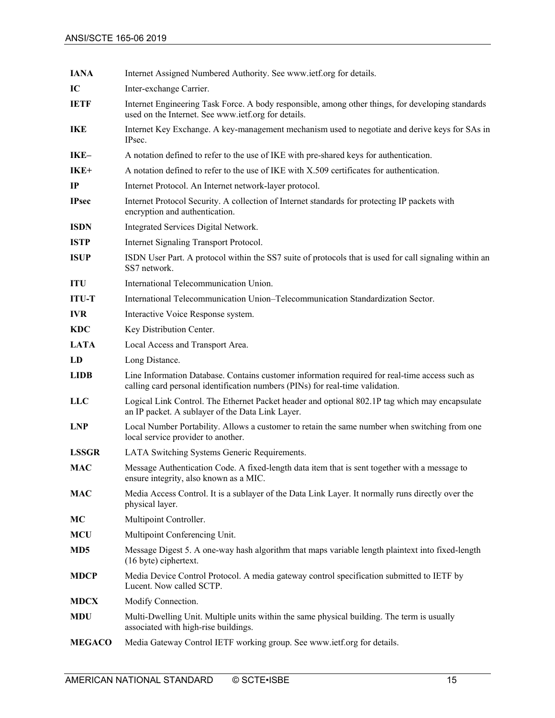| <b>IANA</b>     | Internet Assigned Numbered Authority. See www.ietf.org for details.                                                                                                             |  |
|-----------------|---------------------------------------------------------------------------------------------------------------------------------------------------------------------------------|--|
| IC              | Inter-exchange Carrier.                                                                                                                                                         |  |
| <b>IETF</b>     | Internet Engineering Task Force. A body responsible, among other things, for developing standards<br>used on the Internet. See www.ietf.org for details.                        |  |
| <b>IKE</b>      | Internet Key Exchange. A key-management mechanism used to negotiate and derive keys for SAs in<br>IPsec.                                                                        |  |
| IKE-            | A notation defined to refer to the use of IKE with pre-shared keys for authentication.                                                                                          |  |
| $IKE+$          | A notation defined to refer to the use of IKE with X.509 certificates for authentication.                                                                                       |  |
| IP              | Internet Protocol. An Internet network-layer protocol.                                                                                                                          |  |
| <b>IPsec</b>    | Internet Protocol Security. A collection of Internet standards for protecting IP packets with<br>encryption and authentication.                                                 |  |
| <b>ISDN</b>     | Integrated Services Digital Network.                                                                                                                                            |  |
| <b>ISTP</b>     | Internet Signaling Transport Protocol.                                                                                                                                          |  |
| <b>ISUP</b>     | ISDN User Part. A protocol within the SS7 suite of protocols that is used for call signaling within an<br>SS7 network.                                                          |  |
| <b>ITU</b>      | International Telecommunication Union.                                                                                                                                          |  |
| <b>ITU-T</b>    | International Telecommunication Union-Telecommunication Standardization Sector.                                                                                                 |  |
| <b>IVR</b>      | Interactive Voice Response system.                                                                                                                                              |  |
| <b>KDC</b>      | Key Distribution Center.                                                                                                                                                        |  |
| <b>LATA</b>     | Local Access and Transport Area.                                                                                                                                                |  |
| LD              | Long Distance.                                                                                                                                                                  |  |
| <b>LIDB</b>     | Line Information Database. Contains customer information required for real-time access such as<br>calling card personal identification numbers (PINs) for real-time validation. |  |
| <b>LLC</b>      | Logical Link Control. The Ethernet Packet header and optional 802.1P tag which may encapsulate<br>an IP packet. A sublayer of the Data Link Layer.                              |  |
| <b>LNP</b>      | Local Number Portability. Allows a customer to retain the same number when switching from one<br>local service provider to another.                                             |  |
| <b>LSSGR</b>    | LATA Switching Systems Generic Requirements.                                                                                                                                    |  |
| <b>MAC</b>      | Message Authentication Code. A fixed-length data item that is sent together with a message to<br>ensure integrity, also known as a MIC.                                         |  |
| <b>MAC</b>      | Media Access Control. It is a sublayer of the Data Link Layer. It normally runs directly over the<br>physical layer.                                                            |  |
| MC              | Multipoint Controller.                                                                                                                                                          |  |
| <b>MCU</b>      | Multipoint Conferencing Unit.                                                                                                                                                   |  |
| MD <sub>5</sub> | Message Digest 5. A one-way hash algorithm that maps variable length plaintext into fixed-length<br>(16 byte) ciphertext.                                                       |  |
| <b>MDCP</b>     | Media Device Control Protocol. A media gateway control specification submitted to IETF by<br>Lucent. Now called SCTP.                                                           |  |
| <b>MDCX</b>     | Modify Connection.                                                                                                                                                              |  |
| <b>MDU</b>      | Multi-Dwelling Unit. Multiple units within the same physical building. The term is usually<br>associated with high-rise buildings.                                              |  |
| <b>MEGACO</b>   | Media Gateway Control IETF working group. See www.ietf.org for details.                                                                                                         |  |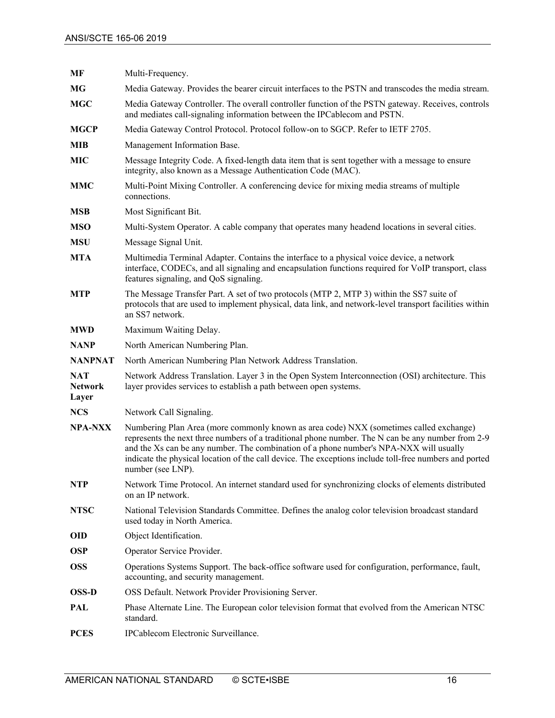| MF                                           | Multi-Frequency.                                                                                                                                                                                                                                                                                                                                                                                                     |  |
|----------------------------------------------|----------------------------------------------------------------------------------------------------------------------------------------------------------------------------------------------------------------------------------------------------------------------------------------------------------------------------------------------------------------------------------------------------------------------|--|
| MG                                           | Media Gateway. Provides the bearer circuit interfaces to the PSTN and transcodes the media stream.                                                                                                                                                                                                                                                                                                                   |  |
| <b>MGC</b>                                   | Media Gateway Controller. The overall controller function of the PSTN gateway. Receives, controls<br>and mediates call-signaling information between the IPCablecom and PSTN.                                                                                                                                                                                                                                        |  |
| <b>MGCP</b>                                  | Media Gateway Control Protocol. Protocol follow-on to SGCP. Refer to IETF 2705.                                                                                                                                                                                                                                                                                                                                      |  |
| MIB                                          | Management Information Base.                                                                                                                                                                                                                                                                                                                                                                                         |  |
| <b>MIC</b>                                   | Message Integrity Code. A fixed-length data item that is sent together with a message to ensure<br>integrity, also known as a Message Authentication Code (MAC).                                                                                                                                                                                                                                                     |  |
| <b>MMC</b>                                   | Multi-Point Mixing Controller. A conferencing device for mixing media streams of multiple<br>connections.                                                                                                                                                                                                                                                                                                            |  |
| <b>MSB</b>                                   | Most Significant Bit.                                                                                                                                                                                                                                                                                                                                                                                                |  |
| <b>MSO</b>                                   | Multi-System Operator. A cable company that operates many headend locations in several cities.                                                                                                                                                                                                                                                                                                                       |  |
| <b>MSU</b>                                   | Message Signal Unit.                                                                                                                                                                                                                                                                                                                                                                                                 |  |
| <b>MTA</b>                                   | Multimedia Terminal Adapter. Contains the interface to a physical voice device, a network<br>interface, CODECs, and all signaling and encapsulation functions required for VoIP transport, class<br>features signaling, and QoS signaling.                                                                                                                                                                           |  |
| <b>MTP</b>                                   | The Message Transfer Part. A set of two protocols (MTP 2, MTP 3) within the SS7 suite of<br>protocols that are used to implement physical, data link, and network-level transport facilities within<br>an SS7 network.                                                                                                                                                                                               |  |
| <b>MWD</b>                                   | Maximum Waiting Delay.                                                                                                                                                                                                                                                                                                                                                                                               |  |
| <b>NANP</b>                                  | North American Numbering Plan.                                                                                                                                                                                                                                                                                                                                                                                       |  |
| <b>NANPNAT</b>                               | North American Numbering Plan Network Address Translation.                                                                                                                                                                                                                                                                                                                                                           |  |
| <b>NAT</b><br><b>Network</b><br><b>Layer</b> | Network Address Translation. Layer 3 in the Open System Interconnection (OSI) architecture. This<br>layer provides services to establish a path between open systems.                                                                                                                                                                                                                                                |  |
| <b>NCS</b>                                   | Network Call Signaling.                                                                                                                                                                                                                                                                                                                                                                                              |  |
| <b>NPA-NXX</b>                               | Numbering Plan Area (more commonly known as area code) NXX (sometimes called exchange)<br>represents the next three numbers of a traditional phone number. The N can be any number from 2-9<br>and the Xs can be any number. The combination of a phone number's NPA-NXX will usually<br>indicate the physical location of the call device. The exceptions include toll-free numbers and ported<br>number (see LNP). |  |
| <b>NTP</b>                                   | Network Time Protocol. An internet standard used for synchronizing clocks of elements distributed<br>on an IP network.                                                                                                                                                                                                                                                                                               |  |
| <b>NTSC</b>                                  | National Television Standards Committee. Defines the analog color television broadcast standard<br>used today in North America.                                                                                                                                                                                                                                                                                      |  |
| <b>OID</b>                                   | Object Identification.                                                                                                                                                                                                                                                                                                                                                                                               |  |
| <b>OSP</b>                                   | Operator Service Provider.                                                                                                                                                                                                                                                                                                                                                                                           |  |
| <b>OSS</b>                                   | Operations Systems Support. The back-office software used for configuration, performance, fault,<br>accounting, and security management.                                                                                                                                                                                                                                                                             |  |
| <b>OSS-D</b>                                 | OSS Default. Network Provider Provisioning Server.                                                                                                                                                                                                                                                                                                                                                                   |  |
| PAL                                          | Phase Alternate Line. The European color television format that evolved from the American NTSC<br>standard.                                                                                                                                                                                                                                                                                                          |  |
| <b>PCES</b>                                  | IPCablecom Electronic Surveillance.                                                                                                                                                                                                                                                                                                                                                                                  |  |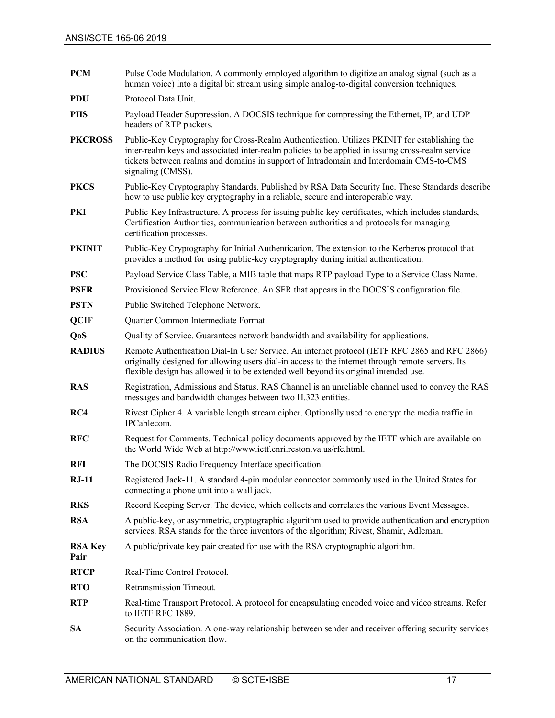| <b>PCM</b>             | Pulse Code Modulation. A commonly employed algorithm to digitize an analog signal (such as a<br>human voice) into a digital bit stream using simple analog-to-digital conversion techniques.                                                                                                                      |  |
|------------------------|-------------------------------------------------------------------------------------------------------------------------------------------------------------------------------------------------------------------------------------------------------------------------------------------------------------------|--|
| <b>PDU</b>             | Protocol Data Unit.                                                                                                                                                                                                                                                                                               |  |
| <b>PHS</b>             | Payload Header Suppression. A DOCSIS technique for compressing the Ethernet, IP, and UDP<br>headers of RTP packets.                                                                                                                                                                                               |  |
| <b>PKCROSS</b>         | Public-Key Cryptography for Cross-Realm Authentication. Utilizes PKINIT for establishing the<br>inter-realm keys and associated inter-realm policies to be applied in issuing cross-realm service<br>tickets between realms and domains in support of Intradomain and Interdomain CMS-to-CMS<br>signaling (CMSS). |  |
| <b>PKCS</b>            | Public-Key Cryptography Standards. Published by RSA Data Security Inc. These Standards describe<br>how to use public key cryptography in a reliable, secure and interoperable way.                                                                                                                                |  |
| PKI                    | Public-Key Infrastructure. A process for issuing public key certificates, which includes standards,<br>Certification Authorities, communication between authorities and protocols for managing<br>certification processes.                                                                                        |  |
| <b>PKINIT</b>          | Public-Key Cryptography for Initial Authentication. The extension to the Kerberos protocol that<br>provides a method for using public-key cryptography during initial authentication.                                                                                                                             |  |
| <b>PSC</b>             | Payload Service Class Table, a MIB table that maps RTP payload Type to a Service Class Name.                                                                                                                                                                                                                      |  |
| <b>PSFR</b>            | Provisioned Service Flow Reference. An SFR that appears in the DOCSIS configuration file.                                                                                                                                                                                                                         |  |
| <b>PSTN</b>            | Public Switched Telephone Network.                                                                                                                                                                                                                                                                                |  |
| <b>QCIF</b>            | Quarter Common Intermediate Format.                                                                                                                                                                                                                                                                               |  |
| QoS                    | Quality of Service. Guarantees network bandwidth and availability for applications.                                                                                                                                                                                                                               |  |
| <b>RADIUS</b>          | Remote Authentication Dial-In User Service. An internet protocol (IETF RFC 2865 and RFC 2866)<br>originally designed for allowing users dial-in access to the internet through remote servers. Its<br>flexible design has allowed it to be extended well beyond its original intended use.                        |  |
| <b>RAS</b>             | Registration, Admissions and Status. RAS Channel is an unreliable channel used to convey the RAS<br>messages and bandwidth changes between two H.323 entities.                                                                                                                                                    |  |
| RC4                    | Rivest Cipher 4. A variable length stream cipher. Optionally used to encrypt the media traffic in<br>IPCablecom.                                                                                                                                                                                                  |  |
| <b>RFC</b>             | Request for Comments. Technical policy documents approved by the IETF which are available on<br>the World Wide Web at http://www.ietf.cnri.reston.va.us/rfc.html.                                                                                                                                                 |  |
| RFI                    | The DOCSIS Radio Frequency Interface specification.                                                                                                                                                                                                                                                               |  |
| $RJ-11$                | Registered Jack-11. A standard 4-pin modular connector commonly used in the United States for<br>connecting a phone unit into a wall jack.                                                                                                                                                                        |  |
| <b>RKS</b>             | Record Keeping Server. The device, which collects and correlates the various Event Messages.                                                                                                                                                                                                                      |  |
| <b>RSA</b>             | A public-key, or asymmetric, cryptographic algorithm used to provide authentication and encryption<br>services. RSA stands for the three inventors of the algorithm; Rivest, Shamir, Adleman.                                                                                                                     |  |
| <b>RSA Key</b><br>Pair | A public/private key pair created for use with the RSA cryptographic algorithm.                                                                                                                                                                                                                                   |  |
| <b>RTCP</b>            | Real-Time Control Protocol.                                                                                                                                                                                                                                                                                       |  |
| <b>RTO</b>             | Retransmission Timeout.                                                                                                                                                                                                                                                                                           |  |
| <b>RTP</b>             | Real-time Transport Protocol. A protocol for encapsulating encoded voice and video streams. Refer<br>to IETF RFC 1889.                                                                                                                                                                                            |  |
| <b>SA</b>              | Security Association. A one-way relationship between sender and receiver offering security services<br>on the communication flow.                                                                                                                                                                                 |  |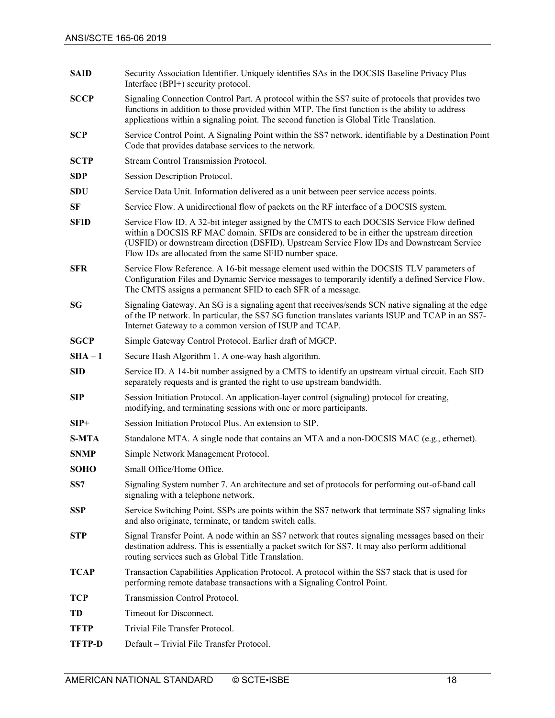| <b>SAID</b>   | Security Association Identifier. Uniquely identifies SAs in the DOCSIS Baseline Privacy Plus<br>Interface (BPI+) security protocol.                                                                                                                                                                                                              |  |
|---------------|--------------------------------------------------------------------------------------------------------------------------------------------------------------------------------------------------------------------------------------------------------------------------------------------------------------------------------------------------|--|
| <b>SCCP</b>   | Signaling Connection Control Part. A protocol within the SS7 suite of protocols that provides two<br>functions in addition to those provided within MTP. The first function is the ability to address<br>applications within a signaling point. The second function is Global Title Translation.                                                 |  |
| <b>SCP</b>    | Service Control Point. A Signaling Point within the SS7 network, identifiable by a Destination Point<br>Code that provides database services to the network.                                                                                                                                                                                     |  |
| <b>SCTP</b>   | Stream Control Transmission Protocol.                                                                                                                                                                                                                                                                                                            |  |
| <b>SDP</b>    | Session Description Protocol.                                                                                                                                                                                                                                                                                                                    |  |
| <b>SDU</b>    | Service Data Unit. Information delivered as a unit between peer service access points.                                                                                                                                                                                                                                                           |  |
| SF            | Service Flow. A unidirectional flow of packets on the RF interface of a DOCSIS system.                                                                                                                                                                                                                                                           |  |
| <b>SFID</b>   | Service Flow ID. A 32-bit integer assigned by the CMTS to each DOCSIS Service Flow defined<br>within a DOCSIS RF MAC domain. SFIDs are considered to be in either the upstream direction<br>(USFID) or downstream direction (DSFID). Upstream Service Flow IDs and Downstream Service<br>Flow IDs are allocated from the same SFID number space. |  |
| <b>SFR</b>    | Service Flow Reference. A 16-bit message element used within the DOCSIS TLV parameters of<br>Configuration Files and Dynamic Service messages to temporarily identify a defined Service Flow.<br>The CMTS assigns a permanent SFID to each SFR of a message.                                                                                     |  |
| SG            | Signaling Gateway. An SG is a signaling agent that receives/sends SCN native signaling at the edge<br>of the IP network. In particular, the SS7 SG function translates variants ISUP and TCAP in an SS7-<br>Internet Gateway to a common version of ISUP and TCAP.                                                                               |  |
| <b>SGCP</b>   | Simple Gateway Control Protocol. Earlier draft of MGCP.                                                                                                                                                                                                                                                                                          |  |
| $SHA - 1$     | Secure Hash Algorithm 1. A one-way hash algorithm.                                                                                                                                                                                                                                                                                               |  |
| <b>SID</b>    | Service ID. A 14-bit number assigned by a CMTS to identify an upstream virtual circuit. Each SID<br>separately requests and is granted the right to use upstream bandwidth.                                                                                                                                                                      |  |
| <b>SIP</b>    | Session Initiation Protocol. An application-layer control (signaling) protocol for creating,<br>modifying, and terminating sessions with one or more participants.                                                                                                                                                                               |  |
| $SIP+$        | Session Initiation Protocol Plus. An extension to SIP.                                                                                                                                                                                                                                                                                           |  |
| <b>S-MTA</b>  | Standalone MTA. A single node that contains an MTA and a non-DOCSIS MAC (e.g., ethernet).                                                                                                                                                                                                                                                        |  |
| <b>SNMP</b>   | Simple Network Management Protocol.                                                                                                                                                                                                                                                                                                              |  |
| <b>SOHO</b>   | Small Office/Home Office.                                                                                                                                                                                                                                                                                                                        |  |
| SS7           | Signaling System number 7. An architecture and set of protocols for performing out-of-band call<br>signaling with a telephone network.                                                                                                                                                                                                           |  |
| SSP           | Service Switching Point. SSPs are points within the SS7 network that terminate SS7 signaling links<br>and also originate, terminate, or tandem switch calls.                                                                                                                                                                                     |  |
| <b>STP</b>    | Signal Transfer Point. A node within an SS7 network that routes signaling messages based on their<br>destination address. This is essentially a packet switch for SS7. It may also perform additional<br>routing services such as Global Title Translation.                                                                                      |  |
| TCAP          | Transaction Capabilities Application Protocol. A protocol within the SS7 stack that is used for<br>performing remote database transactions with a Signaling Control Point.                                                                                                                                                                       |  |
| TCP           | Transmission Control Protocol.                                                                                                                                                                                                                                                                                                                   |  |
| TD            | Timeout for Disconnect.                                                                                                                                                                                                                                                                                                                          |  |
| <b>TFTP</b>   | Trivial File Transfer Protocol.                                                                                                                                                                                                                                                                                                                  |  |
| <b>TFTP-D</b> | Default - Trivial File Transfer Protocol.                                                                                                                                                                                                                                                                                                        |  |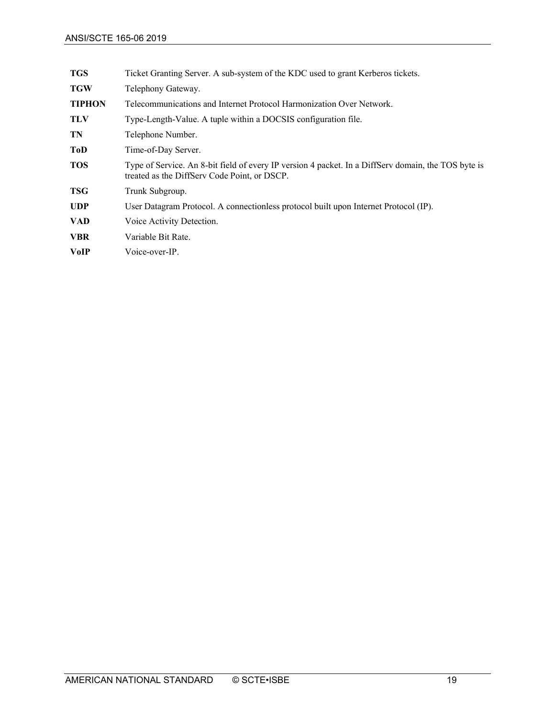| <b>TGS</b>    | Ticket Granting Server. A sub-system of the KDC used to grant Kerberos tickets.                                                                     |  |
|---------------|-----------------------------------------------------------------------------------------------------------------------------------------------------|--|
| <b>TGW</b>    | Telephony Gateway.                                                                                                                                  |  |
| <b>TIPHON</b> | Telecommunications and Internet Protocol Harmonization Over Network.                                                                                |  |
| <b>TLV</b>    | Type-Length-Value. A tuple within a DOCSIS configuration file.                                                                                      |  |
| TN            | Telephone Number.                                                                                                                                   |  |
| <b>ToD</b>    | Time-of-Day Server.                                                                                                                                 |  |
| <b>TOS</b>    | Type of Service. An 8-bit field of every IP version 4 packet. In a DiffServ domain, the TOS byte is<br>treated as the DiffServ Code Point, or DSCP. |  |
| <b>TSG</b>    | Trunk Subgroup.                                                                                                                                     |  |
| <b>UDP</b>    | User Datagram Protocol. A connectionless protocol built upon Internet Protocol (IP).                                                                |  |
| <b>VAD</b>    | Voice Activity Detection.                                                                                                                           |  |
| <b>VBR</b>    | Variable Bit Rate.                                                                                                                                  |  |
| <b>VoIP</b>   | Voice-over-IP.                                                                                                                                      |  |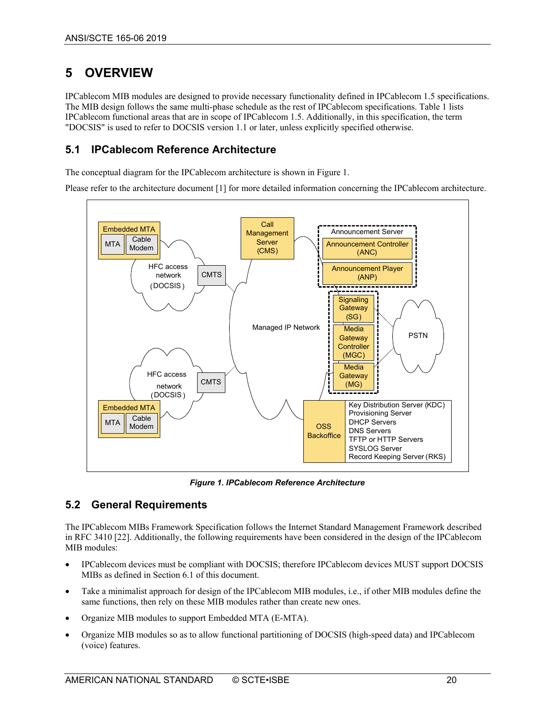# <span id="page-19-0"></span>**5 OVERVIEW**

IPCablecom MIB modules are designed to provide necessary functionality defined in IPCablecom 1.5 specifications. The MIB design follows the same multi-phase schedule as the rest of IPCablecom specifications[. Table 1](#page-4-2) lists IPCablecom functional areas that are in scope of IPCablecom 1.5. Additionally, in this specification, the term "DOCSIS" is used to refer to DOCSIS version 1.1 or later, unless explicitly specified otherwise.

## <span id="page-19-1"></span>**5.1 IPCablecom Reference Architecture**

The conceptual diagram for the IPCablecom architecture is shown i[n Figure 1.](#page-19-3)

Please refer to the architecture document [\[1\]](#page-6-7) for more detailed information concerning the IPCablecom architecture.



*Figure 1. IPCablecom Reference Architecture*

# <span id="page-19-3"></span><span id="page-19-2"></span>**5.2 General Requirements**

The IPCablecom MIBs Framework Specification follows the Internet Standard Management Framework described in RFC 3410 [\[22\].](#page-7-4) Additionally, the following requirements have been considered in the design of the IPCablecom MIB modules:

- IPCablecom devices must be compliant with DOCSIS; therefore IPCablecom devices MUST support DOCSIS MIBs as defined in Section [6.1](#page-25-1) of this document.
- Take a minimalist approach for design of the IPCablecom MIB modules, i.e., if other MIB modules define the same functions, then rely on these MIB modules rather than create new ones.
- Organize MIB modules to support Embedded MTA (E-MTA).
- Organize MIB modules so as to allow functional partitioning of DOCSIS (high-speed data) and IPCablecom (voice) features.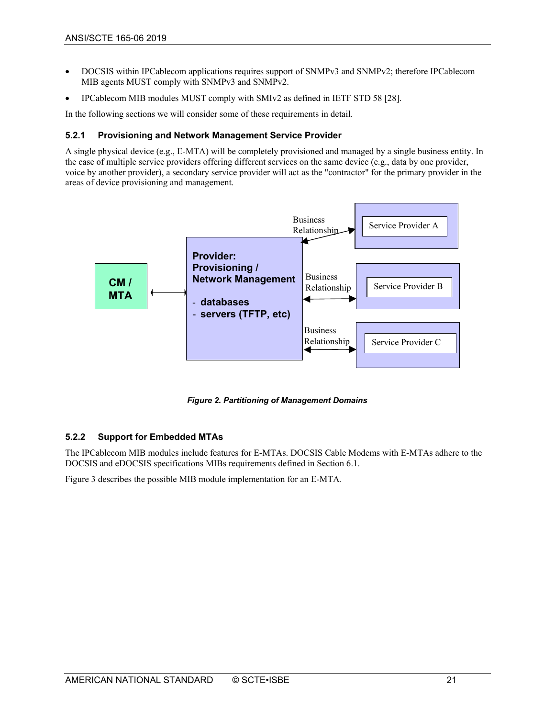- DOCSIS within IPCablecom applications requires support of SNMPv3 and SNMPv2; therefore IPCablecom MIB agents MUST comply with SNMPv3 and SNMPv2.
- IPCablecom MIB modules MUST comply with SMIv2 as defined in IETF STD 58 [\[28\].](#page-7-5)

In the following sections we will consider some of these requirements in detail.

#### <span id="page-20-0"></span>**5.2.1 Provisioning and Network Management Service Provider**

A single physical device (e.g., E-MTA) will be completely provisioned and managed by a single business entity. In the case of multiple service providers offering different services on the same device (e.g., data by one provider, voice by another provider), a secondary service provider will act as the "contractor" for the primary provider in the areas of device provisioning and management.



*Figure 2. Partitioning of Management Domains*

#### <span id="page-20-2"></span><span id="page-20-1"></span>**5.2.2 Support for Embedded MTAs**

The IPCablecom MIB modules include features for E-MTAs. DOCSIS Cable Modems with E-MTAs adhere to the DOCSIS and eDOCSIS specifications MIBs requirements defined in Section [6.1.](#page-25-1)

[Figure 3](#page-21-1) describes the possible MIB module implementation for an E-MTA.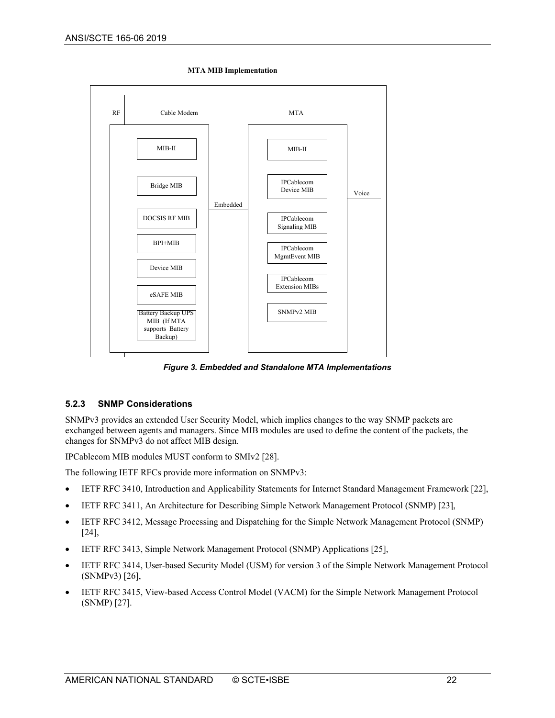

**MTA MIB Implementation**

*Figure 3. Embedded and Standalone MTA Implementations*

#### <span id="page-21-1"></span><span id="page-21-0"></span>**5.2.3 SNMP Considerations**

SNMPv3 provides an extended User Security Model, which implies changes to the way SNMP packets are exchanged between agents and managers. Since MIB modules are used to define the content of the packets, the changes for SNMPv3 do not affect MIB design.

IPCablecom MIB modules MUST conform to SMIv2 [\[28\].](#page-7-5)

The following IETF RFCs provide more information on SNMPv3:

- IETF RFC 3410, Introduction and Applicability Statements for Internet Standard Management Framewor[k \[22\],](#page-7-4)
- IETF RFC 3411, An Architecture for Describing Simple Network Management Protocol (SNMP[\) \[23\],](#page-7-6)
- IETF RFC 3412, Message Processing and Dispatching for the Simple Network Management Protocol (SNMP) [\[24\],](#page-7-7)
- IETF RFC 3413, Simple Network Management Protocol (SNMP) Applications [\[25\],](#page-7-8)
- IETF RFC 3414, User-based Security Model (USM) for version 3 of the Simple Network Management Protocol (SNMPv3) [\[26\],](#page-7-9)
- IETF RFC 3415, View-based Access Control Model (VACM) for the Simple Network Management Protocol (SNMP) [\[27\].](#page-7-10)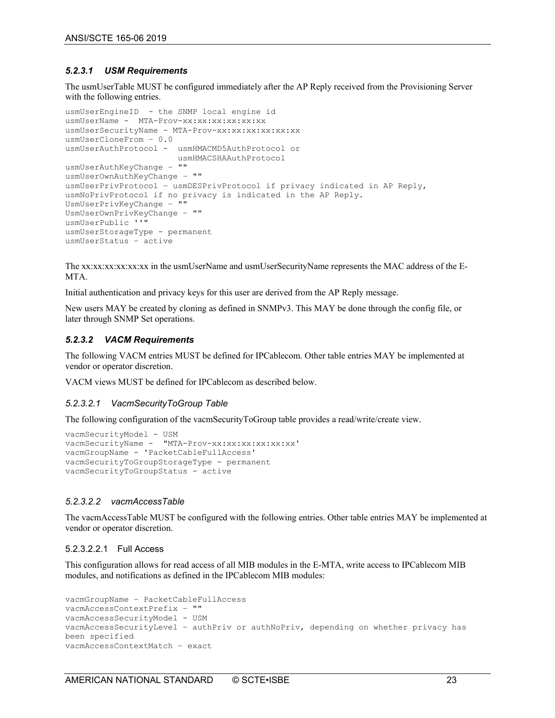#### <span id="page-22-0"></span>*5.2.3.1 USM Requirements*

The usmUserTable MUST be configured immediately after the AP Reply received from the Provisioning Server with the following entries.

```
usmUserEngineID - the SNMP local engine id 
usmUserName - MTA-Prov-xx:xx:xx:xx:xx:xx
usmUserSecurityName - MTA-Prov-xx:xx:xx:xx:xx:xx
usmUserCloneFrom – 0.0
usmUserAuthProtocol - usmHMACMD5AuthProtocol or
                        usmHMACSHAAuthProtocol
usmUserAuthKeyChange – ""
usmUserOwnAuthKeyChange – ""
usmUserPrivProtocol – usmDESPrivProtocol if privacy indicated in AP Reply, 
usmNoPrivProtocol if no privacy is indicated in the AP Reply.
UsmUserPrivKeyChange – ""
UsmUserOwnPrivKeyChange – ""
usmUserPublic ''"
usmUserStorageType - permanent
usmUserStatus – active
```
The xx:xx:xx:xx:xx:xx in the usmUserName and usmUserSecurityName represents the MAC address of the E-MTA.

Initial authentication and privacy keys for this user are derived from the AP Reply message.

New users MAY be created by cloning as defined in SNMPv3. This MAY be done through the config file, or later through SNMP Set operations.

#### <span id="page-22-1"></span>*5.2.3.2 VACM Requirements*

The following VACM entries MUST be defined for IPCablecom. Other table entries MAY be implemented at vendor or operator discretion.

VACM views MUST be defined for IPCablecom as described below.

#### *5.2.3.2.1 VacmSecurityToGroup Table*

The following configuration of the vacmSecurityToGroup table provides a read/write/create view.

```
vacmSecurityModel - USM
vacmSecurityName - "MTA-Prov-xx:xx:xx:xx:xx:xx'
vacmGroupName - 'PacketCableFullAccess'
vacmSecurityToGroupStorageType - permanent
vacmSecurityToGroupStatus - active
```
#### *5.2.3.2.2 vacmAccessTable*

The vacmAccessTable MUST be configured with the following entries. Other table entries MAY be implemented at vendor or operator discretion.

#### 5.2.3.2.2.1 Full Access

This configuration allows for read access of all MIB modules in the E-MTA, write access to IPCablecom MIB modules, and notifications as defined in the IPCablecom MIB modules:

```
vacmGroupName – PacketCableFullAccess
vacmAccessContextPrefix – ""
vacmAccessSecurityModel - USM
vacmAccessSecurityLevel – authPriv or authNoPriv, depending on whether privacy has 
been specified 
vacmAccessContextMatch – exact
```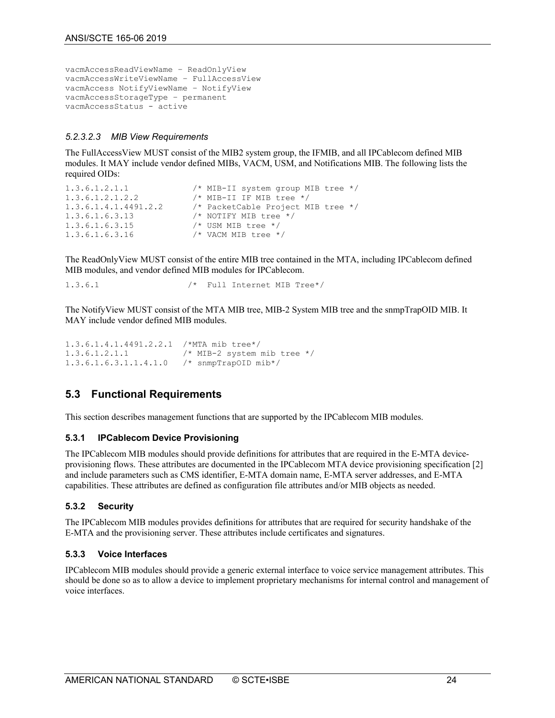```
vacmAccessReadViewName – ReadOnlyView
vacmAccessWriteViewName – FullAccessView
vacmAccess NotifyViewName – NotifyView
vacmAccessStorageType – permanent
vacmAccessStatus - active
```
#### *5.2.3.2.3 MIB View Requirements*

The FullAccessView MUST consist of the MIB2 system group, the IFMIB, and all IPCablecom defined MIB modules. It MAY include vendor defined MIBs, VACM, USM, and Notifications MIB. The following lists the required OIDs:

```
1.3.6.1.2.1.1 /* MIB-II system group MIB tree */<br>1.3.6.1.2.1.2.2 /* MIB-II IF MIB tree */
1.3.6.1.2.1.2.2 /* MIB-II IF MIB tree */<br>1.3.6.1.4.1.4491.2.2 /* PacketCable Project M
                                      /* PacketCable Project MIB tree */<br>/* NOTIFY MIB tree */
1.3.6.1.6.3.13<br>1.3.6.1.6.3.151.3.6.1.6.3.15 /* USM MIB tree */<br>1.3.6.1.6.3.16 /* VACM MIB tree *
                                        /* VACM MIB tree */
```
The ReadOnlyView MUST consist of the entire MIB tree contained in the MTA, including IPCablecom defined MIB modules, and vendor defined MIB modules for IPCablecom.

1.3.6.1 /\* Full Internet MIB Tree\*/

The NotifyView MUST consist of the MTA MIB tree, MIB-2 System MIB tree and the snmpTrapOID MIB. It MAY include vendor defined MIB modules.

```
1.3.6.1.4.1.4491.2.2.1 /*MTA mib tree*/<br>1.3.6.1.2.1.1 /* MIB-2 system
1.3.6.1.2.1.1 /* MIB-2 system mib tree */<br>1.3.6.1.6.3.1.1.4.1.0 /* snmpTrapOID mib*/
                                    /* snmpTrapOID mib*/
```
#### <span id="page-23-0"></span>**5.3 Functional Requirements**

This section describes management functions that are supported by the IPCablecom MIB modules.

#### <span id="page-23-1"></span>**5.3.1 IPCablecom Device Provisioning**

The IPCablecom MIB modules should provide definitions for attributes that are required in the E-MTA deviceprovisioning flows. These attributes are documented in the IPCablecom MTA device provisioning specification [\[2\]](#page-6-8) and include parameters such as CMS identifier, E-MTA domain name, E-MTA server addresses, and E-MTA capabilities. These attributes are defined as configuration file attributes and/or MIB objects as needed.

#### <span id="page-23-2"></span>**5.3.2 Security**

The IPCablecom MIB modules provides definitions for attributes that are required for security handshake of the E-MTA and the provisioning server. These attributes include certificates and signatures.

#### <span id="page-23-3"></span>**5.3.3 Voice Interfaces**

IPCablecom MIB modules should provide a generic external interface to voice service management attributes. This should be done so as to allow a device to implement proprietary mechanisms for internal control and management of voice interfaces.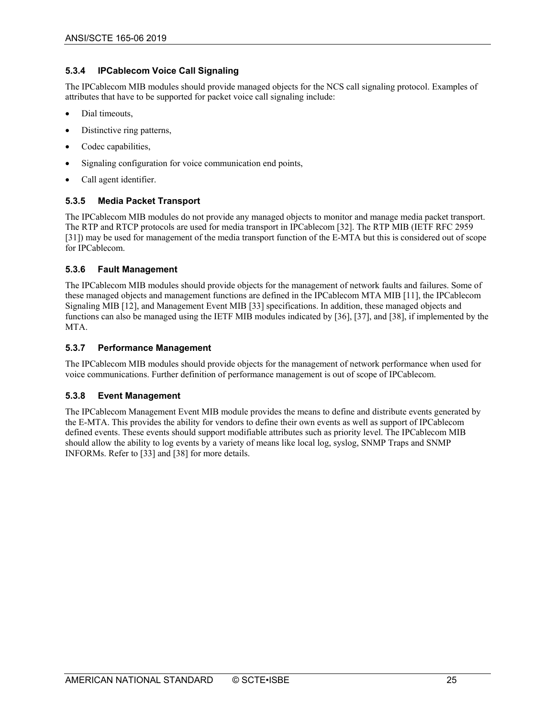#### <span id="page-24-0"></span>**5.3.4 IPCablecom Voice Call Signaling**

The IPCablecom MIB modules should provide managed objects for the NCS call signaling protocol. Examples of attributes that have to be supported for packet voice call signaling include:

- Dial timeouts,
- Distinctive ring patterns,
- Codec capabilities,
- Signaling configuration for voice communication end points,
- Call agent identifier.

#### <span id="page-24-1"></span>**5.3.5 Media Packet Transport**

The IPCablecom MIB modules do not provide any managed objects to monitor and manage media packet transport. The RTP and RTCP protocols are used for media transport in IPCablecom [\[32\].](#page-7-11) The RTP MIB (IETF RFC 2959 [\[31\]\)](#page-7-12) may be used for management of the media transport function of the E-MTA but this is considered out of scope for IPCablecom.

#### <span id="page-24-2"></span>**5.3.6 Fault Management**

The IPCablecom MIB modules should provide objects for the management of network faults and failures. Some of these managed objects and management functions are defined in the IPCablecom MTA MIB [\[11\],](#page-6-3) the IPCablecom Signaling MIB [\[12\],](#page-6-4) and Management Event MI[B \[33\]](#page-7-0) specifications. In addition, these managed objects and functions can also be managed using the IETF MIB modules indicated by [\[36\],](#page-7-1) [\[37\],](#page-7-2) and [\[38\],](#page-7-3) if implemented by the MTA.

#### <span id="page-24-3"></span>**5.3.7 Performance Management**

The IPCablecom MIB modules should provide objects for the management of network performance when used for voice communications. Further definition of performance management is out of scope of IPCablecom.

#### <span id="page-24-4"></span>**5.3.8 Event Management**

The IPCablecom Management Event MIB module provides the means to define and distribute events generated by the E-MTA. This provides the ability for vendors to define their own events as well as support of IPCablecom defined events. These events should support modifiable attributes such as priority level. The IPCablecom MIB should allow the ability to log events by a variety of means like local log, syslog, SNMP Traps and SNMP INFORMs. Refer to [\[33\]](#page-7-0) and [\[38\]](#page-7-3) for more details.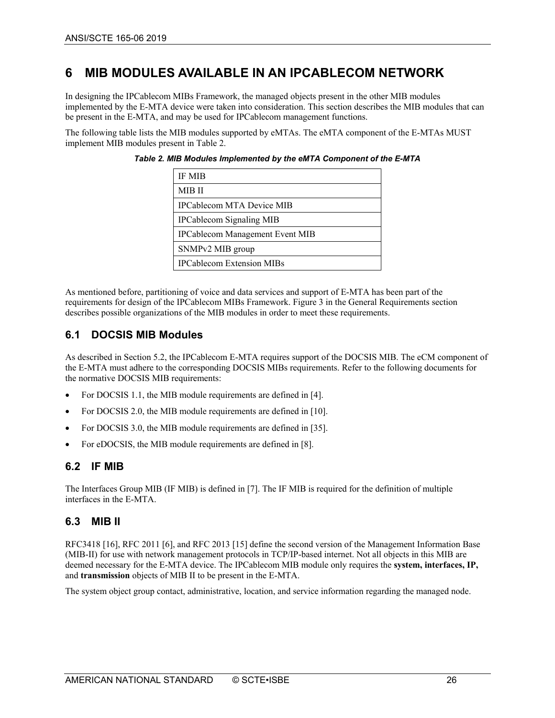# <span id="page-25-0"></span>**6 MIB MODULES AVAILABLE IN AN IPCABLECOM NETWORK**

In designing the IPCablecom MIBs Framework, the managed objects present in the other MIB modules implemented by the E-MTA device were taken into consideration. This section describes the MIB modules that can be present in the E-MTA, and may be used for IPCablecom management functions.

<span id="page-25-4"></span>The following table lists the MIB modules supported by eMTAs. The eMTA component of the E-MTAs MUST implement MIB modules present i[n Table 2.](#page-25-4)

| <b>IF MIB</b>                          |  |
|----------------------------------------|--|
| MIB II                                 |  |
| <b>IPCablecom MTA Device MIB</b>       |  |
| <b>IPCablecom Signaling MIB</b>        |  |
| <b>IPCablecom Management Event MIB</b> |  |
| SNMPv2 MIB group                       |  |
| <b>IPCablecom Extension MIBs</b>       |  |

*Table 2. MIB Modules Implemented by the eMTA Component of the E-MTA*

As mentioned before, partitioning of voice and data services and support of E-MTA has been part of the requirements for design of the IPCablecom MIBs Framework. [Figure 3](#page-21-1) in the General Requirements section describes possible organizations of the MIB modules in order to meet these requirements.

## <span id="page-25-1"></span>**6.1 DOCSIS MIB Modules**

As described in Section [5.2,](#page-19-2) the IPCablecom E-MTA requires support of the DOCSIS MIB. The eCM component of the E-MTA must adhere to the corresponding DOCSIS MIBs requirements. Refer to the following documents for the normative DOCSIS MIB requirements:

- For DOCSIS 1.1, the MIB module requirements are defined i[n \[4\].](#page-6-9)
- For DOCSIS 2.0, the MIB module requirements are defined i[n \[10\].](#page-6-10)
- For DOCSIS 3.0, the MIB module requirements are defined i[n \[35\].](#page-7-13)
- For eDOCSIS, the MIB module requirements are defined in [\[8\].](#page-6-11)

## <span id="page-25-2"></span>**6.2 IF MIB**

The Interfaces Group MIB (IF MIB) is defined in [\[7\].](#page-6-12) The IF MIB is required for the definition of multiple interfaces in the E-MTA.

## <span id="page-25-3"></span>**6.3 MIB II**

RFC3418 [\[16\],](#page-6-13) RFC 2011 [\[6\],](#page-6-14) and RFC 2013 [\[15\]](#page-6-15) define the second version of the Management Information Base (MIB-II) for use with network management protocols in TCP/IP-based internet. Not all objects in this MIB are deemed necessary for the E-MTA device. The IPCablecom MIB module only requires the **system, interfaces, IP,**  and **transmission** objects of MIB II to be present in the E-MTA.

The system object group contact, administrative, location, and service information regarding the managed node.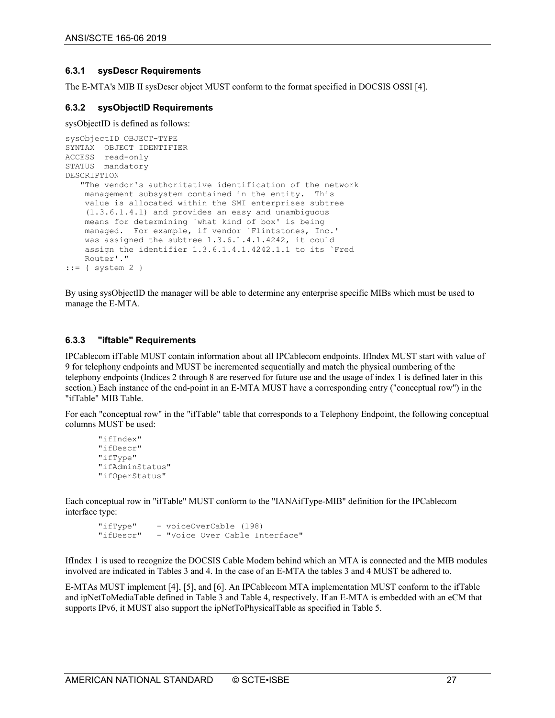#### <span id="page-26-0"></span>**6.3.1 sysDescr Requirements**

The E-MTA's MIB II sysDescr object MUST conform to the format specified in DOCSIS OSSI [\[4\].](#page-6-9)

#### <span id="page-26-1"></span>**6.3.2 sysObjectID Requirements**

#### sysObjectID is defined as follows:

```
sysObjectID OBJECT-TYPE
SYNTAX OBJECT IDENTIFIER
ACCESS read-only
STATUS mandatory
DESCRIPTION
    "The vendor's authoritative identification of the network 
    management subsystem contained in the entity. This 
    value is allocated within the SMI enterprises subtree 
     (1.3.6.1.4.1) and provides an easy and unambiguous 
    means for determining `what kind of box' is being 
    managed. For example, if vendor `Flintstones, Inc.' 
     was assigned the subtree 1.3.6.1.4.1.4242, it could 
     assign the identifier 1.3.6.1.4.1.4242.1.1 to its `Fred
    Router'."
::= { system 2 }
```
By using sysObjectID the manager will be able to determine any enterprise specific MIBs which must be used to manage the E-MTA.

#### <span id="page-26-2"></span>**6.3.3 "iftable" Requirements**

IPCablecom ifTable MUST contain information about all IPCablecom endpoints. IfIndex MUST start with value of 9 for telephony endpoints and MUST be incremented sequentially and match the physical numbering of the telephony endpoints (Indices 2 through 8 are reserved for future use and the usage of index 1 is defined later in this section.) Each instance of the end-point in an E-MTA MUST have a corresponding entry ("conceptual row") in the "ifTable" MIB Table.

For each "conceptual row" in the "ifTable" table that corresponds to a Telephony Endpoint, the following conceptual columns MUST be used:

```
"ifIndex"
"ifDescr"
"ifType"
"ifAdminStatus"
"ifOperStatus"
```
Each conceptual row in "ifTable" MUST conform to the "IANAifType-MIB" definition for the IPCablecom interface type:

```
"ifType" – voiceOverCable (198)
           - "Voice Over Cable Interface"
```
IfIndex 1 is used to recognize the DOCSIS Cable Modem behind which an MTA is connected and the MIB modules involved are indicated in Tables 3 and 4. In the case of an E-MTA the tables 3 and 4 MUST be adhered to.

E-MTAs MUST implemen[t \[4\],](#page-6-9) [\[5\],](#page-6-16) and [\[6\].](#page-6-14) An IPCablecom MTA implementation MUST conform to the ifTable and ipNetToMediaTable defined in [Table 3](#page-27-0) an[d Table 4,](#page-27-1) respectively. If an E-MTA is embedded with an eCM that supports IPv6, it MUST also support the ipNetToPhysicalTable as specified i[n Table 5.](#page-28-5)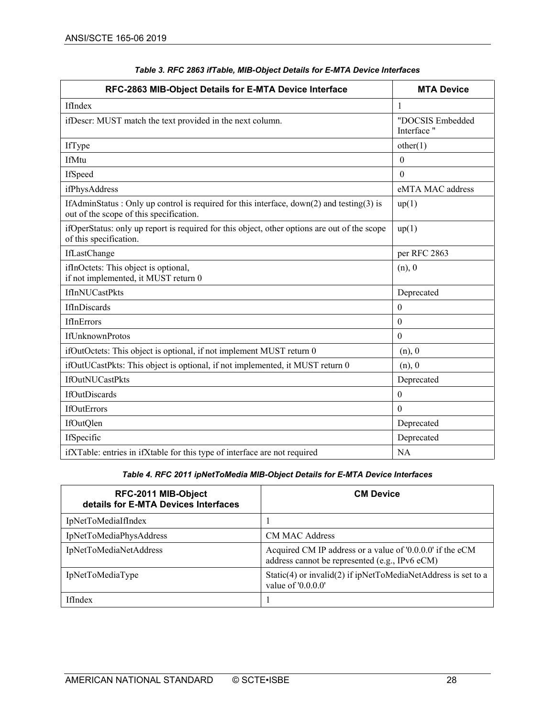<span id="page-27-0"></span>

| RFC-2863 MIB-Object Details for E-MTA Device Interface                                                                              | <b>MTA Device</b>               |
|-------------------------------------------------------------------------------------------------------------------------------------|---------------------------------|
| IfIndex                                                                                                                             | $\mathbf{1}$                    |
| ifDescr: MUST match the text provided in the next column.                                                                           | "DOCSIS Embedded<br>Interface " |
| IfType                                                                                                                              | other(1)                        |
| IfMtu                                                                                                                               | $\theta$                        |
| IfSpeed                                                                                                                             | $\theta$                        |
| ifPhysAddress                                                                                                                       | eMTA MAC address                |
| IfAdminStatus: Only up control is required for this interface, down(2) and testing(3) is<br>out of the scope of this specification. | up(1)                           |
| ifOperStatus: only up report is required for this object, other options are out of the scope<br>of this specification.              | up(1)                           |
| IfLastChange                                                                                                                        | per RFC 2863                    |
| ifInOctets: This object is optional,<br>if not implemented, it MUST return 0                                                        | (n), 0                          |
| <b>IfInNUCastPkts</b>                                                                                                               | Deprecated                      |
| IfInDiscards                                                                                                                        | $\theta$                        |
| <b>IfInErrors</b>                                                                                                                   | $\theta$                        |
| <b>IfUnknownProtos</b>                                                                                                              | $\mathbf{0}$                    |
| ifOutOctets: This object is optional, if not implement MUST return 0                                                                | (n), 0                          |
| ifOutUCastPkts: This object is optional, if not implemented, it MUST return 0                                                       | (n), 0                          |
| IfOutNUCastPkts                                                                                                                     | Deprecated                      |
| <b>IfOutDiscards</b>                                                                                                                | $\theta$                        |
| <b>IfOutErrors</b>                                                                                                                  | $\Omega$                        |
| IfOutQlen                                                                                                                           | Deprecated                      |
| IfSpecific                                                                                                                          | Deprecated                      |
| ifXTable: entries in ifXtable for this type of interface are not required                                                           | <b>NA</b>                       |

#### *Table 3. RFC 2863 ifTable, MIB-Object Details for E-MTA Device Interfaces*

#### *Table 4. RFC 2011 ipNetToMedia MIB-Object Details for E-MTA Device Interfaces*

<span id="page-27-1"></span>

| RFC-2011 MIB-Object<br>details for E-MTA Devices Interfaces | <b>CM Device</b>                                                                                            |
|-------------------------------------------------------------|-------------------------------------------------------------------------------------------------------------|
| IpNetToMediaIfIndex                                         |                                                                                                             |
| IpNetToMediaPhysAddress                                     | <b>CM MAC Address</b>                                                                                       |
| IpNetToMediaNetAddress                                      | Acquired CM IP address or a value of '0.0.0.0' if the eCM<br>address cannot be represented (e.g., IPv6 eCM) |
| IpNetToMediaType                                            | Static(4) or invalid(2) if ipNetToMediaNetAddress is set to a<br>value of '0.0.0.0'                         |
| <b>IfIndex</b>                                              |                                                                                                             |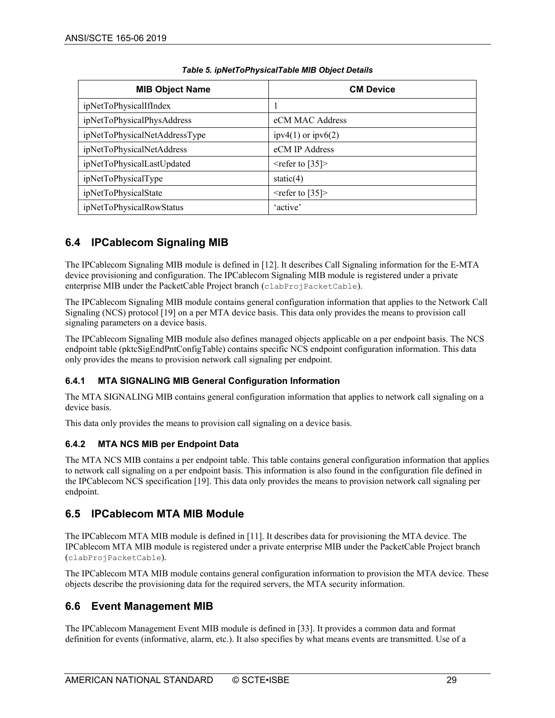<span id="page-28-5"></span>

| <b>MIB Object Name</b>        | <b>CM Device</b>         |
|-------------------------------|--------------------------|
| ipNetToPhysicalIfIndex        |                          |
| ipNetToPhysicalPhysAddress    | eCM MAC Address          |
| ipNetToPhysicalNetAddressType | ipv4 $(1)$ or ipv $6(2)$ |
| ipNetToPhysicalNetAddress     | eCM IP Address           |
| ipNetToPhysicalLastUpdated    | $\leq$ refer to [35]>    |
| ipNetToPhysicalType           | static $(4)$             |
| ipNetToPhysicalState          | $\leq$ refer to [35]>    |
| ipNetToPhysicalRowStatus      | 'active'                 |

#### *Table 5. ipNetToPhysicalTable MIB Object Details*

# <span id="page-28-0"></span>**6.4 IPCablecom Signaling MIB**

The IPCablecom Signaling MIB module is defined i[n \[12\].](#page-6-4) It describes Call Signaling information for the E-MTA device provisioning and configuration. The IPCablecom Signaling MIB module is registered under a private enterprise MIB under the PacketCable Project branch (clabProjPacketCable).

The IPCablecom Signaling MIB module contains general configuration information that applies to the Network Call Signaling (NCS) protocol [\[19\]](#page-6-17) on a per MTA device basis. This data only provides the means to provision call signaling parameters on a device basis.

The IPCablecom Signaling MIB module also defines managed objects applicable on a per endpoint basis. The NCS endpoint table (pktcSigEndPntConfigTable) contains specific NCS endpoint configuration information. This data only provides the means to provision network call signaling per endpoint.

#### <span id="page-28-1"></span>**6.4.1 MTA SIGNALING MIB General Configuration Information**

The MTA SIGNALING MIB contains general configuration information that applies to network call signaling on a device basis.

This data only provides the means to provision call signaling on a device basis.

#### <span id="page-28-2"></span>**6.4.2 MTA NCS MIB per Endpoint Data**

The MTA NCS MIB contains a per endpoint table. This table contains general configuration information that applies to network call signaling on a per endpoint basis. This information is also found in the configuration file defined in the IPCablecom NCS specification [\[19\].](#page-6-17) This data only provides the means to provision network call signaling per endpoint.

## <span id="page-28-3"></span>**6.5 IPCablecom MTA MIB Module**

The IPCablecom MTA MIB module is defined i[n \[11\].](#page-6-3) It describes data for provisioning the MTA device. The IPCablecom MTA MIB module is registered under a private enterprise MIB under the PacketCable Project branch (clabProjPacketCable).

The IPCablecom MTA MIB module contains general configuration information to provision the MTA device. These objects describe the provisioning data for the required servers, the MTA security information.

# <span id="page-28-4"></span>**6.6 Event Management MIB**

The IPCablecom Management Event MIB module is defined in [\[33\].](#page-7-0) It provides a common data and format definition for events (informative, alarm, etc.). It also specifies by what means events are transmitted. Use of a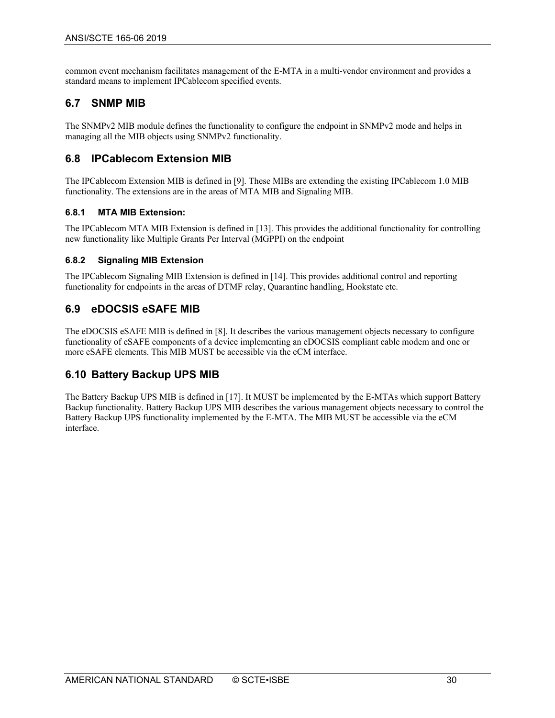common event mechanism facilitates management of the E-MTA in a multi-vendor environment and provides a standard means to implement IPCablecom specified events.

# <span id="page-29-0"></span>**6.7 SNMP MIB**

The SNMPv2 MIB module defines the functionality to configure the endpoint in SNMPv2 mode and helps in managing all the MIB objects using SNMPv2 functionality.

# <span id="page-29-1"></span>**6.8 IPCablecom Extension MIB**

The IPCablecom Extension MIB is defined in [\[9\].](#page-6-18) These MIBs are extending the existing IPCablecom 1.0 MIB functionality. The extensions are in the areas of MTA MIB and Signaling MIB.

#### <span id="page-29-2"></span>**6.8.1 MTA MIB Extension:**

The IPCablecom MTA MIB Extension is defined i[n \[13\].](#page-6-5) This provides the additional functionality for controlling new functionality like Multiple Grants Per Interval (MGPPI) on the endpoint

#### <span id="page-29-3"></span>**6.8.2 Signaling MIB Extension**

The IPCablecom Signaling MIB Extension is defined i[n \[14\].](#page-6-6) This provides additional control and reporting functionality for endpoints in the areas of DTMF relay, Quarantine handling, Hookstate etc.

## <span id="page-29-4"></span>**6.9 eDOCSIS eSAFE MIB**

The eDOCSIS eSAFE MIB is defined in [\[8\].](#page-6-11) It describes the various management objects necessary to configure functionality of eSAFE components of a device implementing an eDOCSIS compliant cable modem and one or more eSAFE elements. This MIB MUST be accessible via the eCM interface.

## <span id="page-29-5"></span>**6.10 Battery Backup UPS MIB**

The Battery Backup UPS MIB is defined in [\[17\].](#page-6-19) It MUST be implemented by the E-MTAs which support Battery Backup functionality. Battery Backup UPS MIB describes the various management objects necessary to control the Battery Backup UPS functionality implemented by the E-MTA. The MIB MUST be accessible via the eCM interface.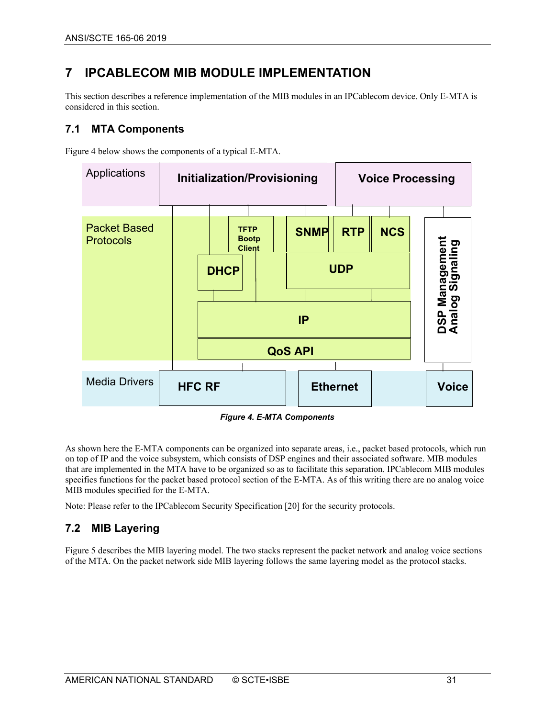# <span id="page-30-0"></span>**7 IPCABLECOM MIB MODULE IMPLEMENTATION**

This section describes a reference implementation of the MIB modules in an IPCablecom device. Only E-MTA is considered in this section.

# <span id="page-30-1"></span>**7.1 MTA Components**

[Figure 4](#page-30-3) below shows the components of a typical E-MTA.



*Figure 4. E-MTA Components*

<span id="page-30-3"></span>As shown here the E-MTA components can be organized into separate areas, i.e., packet based protocols, which run on top of IP and the voice subsystem, which consists of DSP engines and their associated software. MIB modules that are implemented in the MTA have to be organized so as to facilitate this separation. IPCablecom MIB modules specifies functions for the packet based protocol section of the E-MTA. As of this writing there are no analog voice MIB modules specified for the E-MTA.

Note: Please refer to the IPCablecom Security Specification [\[20\]](#page-6-20) for the security protocols.

# <span id="page-30-2"></span>**7.2 MIB Layering**

[Figure 5](#page-31-0) describes the MIB layering model. The two stacks represent the packet network and analog voice sections of the MTA. On the packet network side MIB layering follows the same layering model as the protocol stacks.